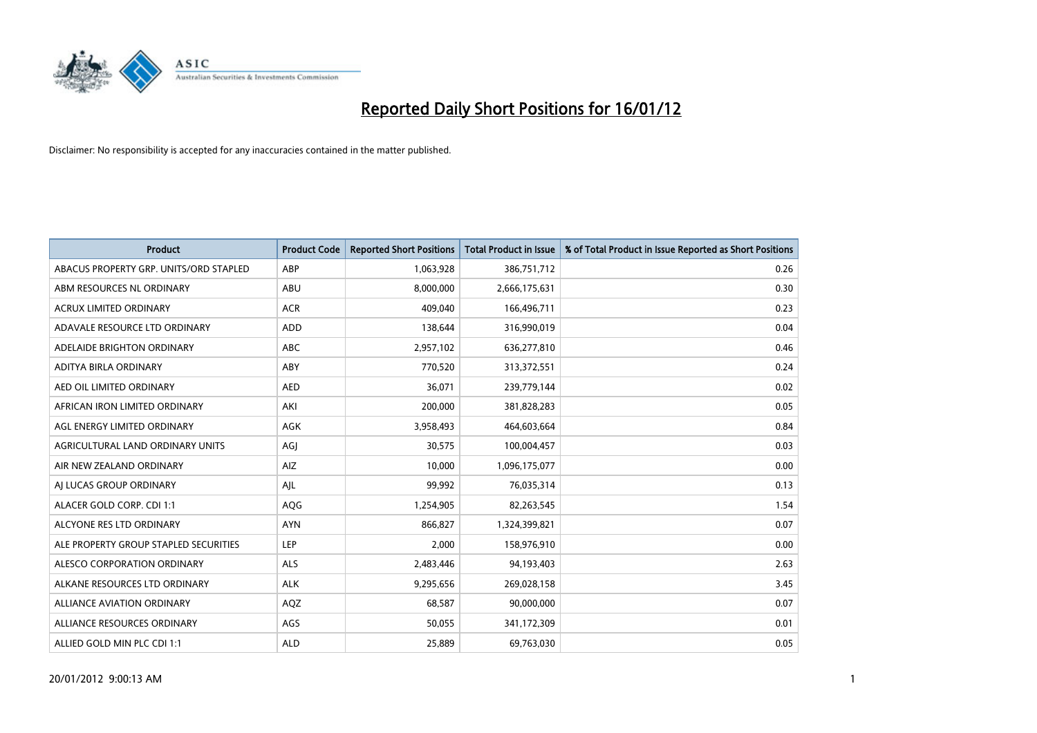

| <b>Product</b>                         | <b>Product Code</b> | <b>Reported Short Positions</b> | <b>Total Product in Issue</b> | % of Total Product in Issue Reported as Short Positions |
|----------------------------------------|---------------------|---------------------------------|-------------------------------|---------------------------------------------------------|
| ABACUS PROPERTY GRP. UNITS/ORD STAPLED | ABP                 | 1,063,928                       | 386,751,712                   | 0.26                                                    |
| ABM RESOURCES NL ORDINARY              | ABU                 | 8,000,000                       | 2,666,175,631                 | 0.30                                                    |
| <b>ACRUX LIMITED ORDINARY</b>          | <b>ACR</b>          | 409,040                         | 166,496,711                   | 0.23                                                    |
| ADAVALE RESOURCE LTD ORDINARY          | ADD                 | 138,644                         | 316,990,019                   | 0.04                                                    |
| ADELAIDE BRIGHTON ORDINARY             | <b>ABC</b>          | 2,957,102                       | 636,277,810                   | 0.46                                                    |
| ADITYA BIRLA ORDINARY                  | ABY                 | 770,520                         | 313,372,551                   | 0.24                                                    |
| AED OIL LIMITED ORDINARY               | <b>AED</b>          | 36.071                          | 239,779,144                   | 0.02                                                    |
| AFRICAN IRON LIMITED ORDINARY          | AKI                 | 200,000                         | 381,828,283                   | 0.05                                                    |
| AGL ENERGY LIMITED ORDINARY            | <b>AGK</b>          | 3,958,493                       | 464,603,664                   | 0.84                                                    |
| AGRICULTURAL LAND ORDINARY UNITS       | AGI                 | 30,575                          | 100,004,457                   | 0.03                                                    |
| AIR NEW ZEALAND ORDINARY               | AIZ                 | 10,000                          | 1,096,175,077                 | 0.00                                                    |
| AI LUCAS GROUP ORDINARY                | AJL                 | 99,992                          | 76,035,314                    | 0.13                                                    |
| ALACER GOLD CORP. CDI 1:1              | AQG                 | 1,254,905                       | 82,263,545                    | 1.54                                                    |
| ALCYONE RES LTD ORDINARY               | <b>AYN</b>          | 866.827                         | 1,324,399,821                 | 0.07                                                    |
| ALE PROPERTY GROUP STAPLED SECURITIES  | LEP                 | 2,000                           | 158,976,910                   | 0.00                                                    |
| ALESCO CORPORATION ORDINARY            | <b>ALS</b>          | 2,483,446                       | 94,193,403                    | 2.63                                                    |
| ALKANE RESOURCES LTD ORDINARY          | <b>ALK</b>          | 9,295,656                       | 269,028,158                   | 3.45                                                    |
| <b>ALLIANCE AVIATION ORDINARY</b>      | AQZ                 | 68,587                          | 90,000,000                    | 0.07                                                    |
| ALLIANCE RESOURCES ORDINARY            | AGS                 | 50,055                          | 341,172,309                   | 0.01                                                    |
| ALLIED GOLD MIN PLC CDI 1:1            | <b>ALD</b>          | 25,889                          | 69,763,030                    | 0.05                                                    |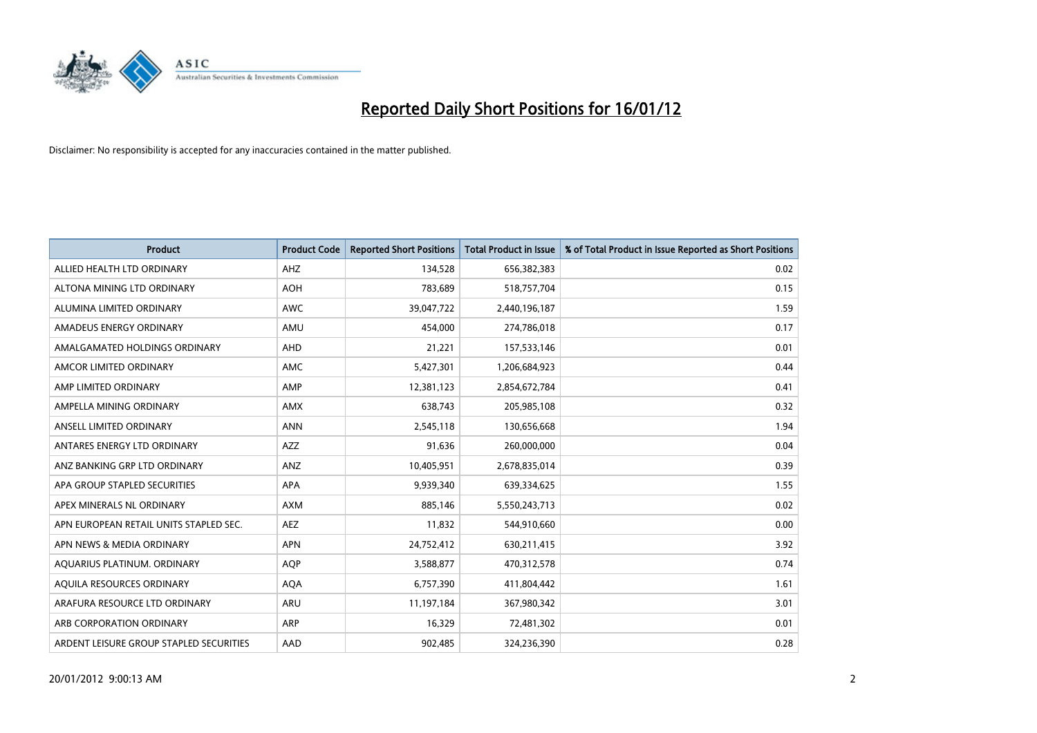

| <b>Product</b>                          | <b>Product Code</b> | <b>Reported Short Positions</b> | Total Product in Issue | % of Total Product in Issue Reported as Short Positions |
|-----------------------------------------|---------------------|---------------------------------|------------------------|---------------------------------------------------------|
| ALLIED HEALTH LTD ORDINARY              | AHZ                 | 134,528                         | 656,382,383            | 0.02                                                    |
| ALTONA MINING LTD ORDINARY              | <b>AOH</b>          | 783,689                         | 518,757,704            | 0.15                                                    |
| ALUMINA LIMITED ORDINARY                | <b>AWC</b>          | 39,047,722                      | 2,440,196,187          | 1.59                                                    |
| AMADEUS ENERGY ORDINARY                 | AMU                 | 454,000                         | 274,786,018            | 0.17                                                    |
| AMALGAMATED HOLDINGS ORDINARY           | AHD                 | 21,221                          | 157,533,146            | 0.01                                                    |
| AMCOR LIMITED ORDINARY                  | AMC                 | 5,427,301                       | 1,206,684,923          | 0.44                                                    |
| AMP LIMITED ORDINARY                    | AMP                 | 12,381,123                      | 2,854,672,784          | 0.41                                                    |
| AMPELLA MINING ORDINARY                 | <b>AMX</b>          | 638,743                         | 205,985,108            | 0.32                                                    |
| ANSELL LIMITED ORDINARY                 | <b>ANN</b>          | 2,545,118                       | 130,656,668            | 1.94                                                    |
| ANTARES ENERGY LTD ORDINARY             | AZZ                 | 91,636                          | 260,000,000            | 0.04                                                    |
| ANZ BANKING GRP LTD ORDINARY            | ANZ                 | 10,405,951                      | 2,678,835,014          | 0.39                                                    |
| APA GROUP STAPLED SECURITIES            | APA                 | 9,939,340                       | 639,334,625            | 1.55                                                    |
| APEX MINERALS NL ORDINARY               | <b>AXM</b>          | 885,146                         | 5,550,243,713          | 0.02                                                    |
| APN EUROPEAN RETAIL UNITS STAPLED SEC.  | <b>AEZ</b>          | 11,832                          | 544,910,660            | 0.00                                                    |
| APN NEWS & MEDIA ORDINARY               | <b>APN</b>          | 24,752,412                      | 630,211,415            | 3.92                                                    |
| AQUARIUS PLATINUM. ORDINARY             | <b>AQP</b>          | 3,588,877                       | 470,312,578            | 0.74                                                    |
| AQUILA RESOURCES ORDINARY               | <b>AQA</b>          | 6,757,390                       | 411,804,442            | 1.61                                                    |
| ARAFURA RESOURCE LTD ORDINARY           | <b>ARU</b>          | 11,197,184                      | 367,980,342            | 3.01                                                    |
| ARB CORPORATION ORDINARY                | <b>ARP</b>          | 16,329                          | 72,481,302             | 0.01                                                    |
| ARDENT LEISURE GROUP STAPLED SECURITIES | AAD                 | 902,485                         | 324,236,390            | 0.28                                                    |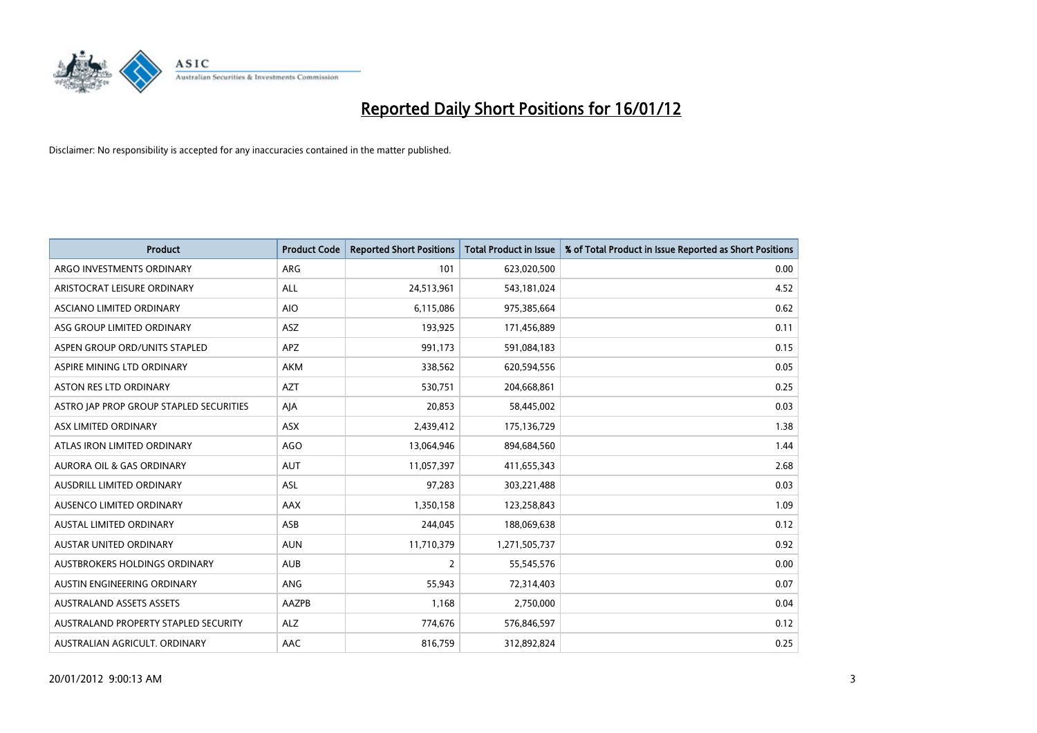

| <b>Product</b>                          | <b>Product Code</b> | <b>Reported Short Positions</b> | <b>Total Product in Issue</b> | % of Total Product in Issue Reported as Short Positions |
|-----------------------------------------|---------------------|---------------------------------|-------------------------------|---------------------------------------------------------|
| ARGO INVESTMENTS ORDINARY               | ARG                 | 101                             | 623,020,500                   | 0.00                                                    |
| ARISTOCRAT LEISURE ORDINARY             | ALL                 | 24,513,961                      | 543,181,024                   | 4.52                                                    |
| ASCIANO LIMITED ORDINARY                | <b>AIO</b>          | 6,115,086                       | 975,385,664                   | 0.62                                                    |
| ASG GROUP LIMITED ORDINARY              | ASZ                 | 193,925                         | 171,456,889                   | 0.11                                                    |
| ASPEN GROUP ORD/UNITS STAPLED           | <b>APZ</b>          | 991,173                         | 591,084,183                   | 0.15                                                    |
| ASPIRE MINING LTD ORDINARY              | <b>AKM</b>          | 338,562                         | 620,594,556                   | 0.05                                                    |
| ASTON RES LTD ORDINARY                  | <b>AZT</b>          | 530,751                         | 204,668,861                   | 0.25                                                    |
| ASTRO JAP PROP GROUP STAPLED SECURITIES | AJA                 | 20,853                          | 58,445,002                    | 0.03                                                    |
| ASX LIMITED ORDINARY                    | ASX                 | 2,439,412                       | 175,136,729                   | 1.38                                                    |
| ATLAS IRON LIMITED ORDINARY             | <b>AGO</b>          | 13,064,946                      | 894,684,560                   | 1.44                                                    |
| <b>AURORA OIL &amp; GAS ORDINARY</b>    | <b>AUT</b>          | 11,057,397                      | 411,655,343                   | 2.68                                                    |
| AUSDRILL LIMITED ORDINARY               | <b>ASL</b>          | 97,283                          | 303,221,488                   | 0.03                                                    |
| AUSENCO LIMITED ORDINARY                | AAX                 | 1,350,158                       | 123,258,843                   | 1.09                                                    |
| AUSTAL LIMITED ORDINARY                 | ASB                 | 244,045                         | 188,069,638                   | 0.12                                                    |
| <b>AUSTAR UNITED ORDINARY</b>           | <b>AUN</b>          | 11,710,379                      | 1,271,505,737                 | 0.92                                                    |
| AUSTBROKERS HOLDINGS ORDINARY           | <b>AUB</b>          | $\overline{2}$                  | 55,545,576                    | 0.00                                                    |
| AUSTIN ENGINEERING ORDINARY             | ANG                 | 55,943                          | 72,314,403                    | 0.07                                                    |
| <b>AUSTRALAND ASSETS ASSETS</b>         | AAZPB               | 1,168                           | 2,750,000                     | 0.04                                                    |
| AUSTRALAND PROPERTY STAPLED SECURITY    | ALZ                 | 774,676                         | 576,846,597                   | 0.12                                                    |
| AUSTRALIAN AGRICULT. ORDINARY           | AAC                 | 816,759                         | 312,892,824                   | 0.25                                                    |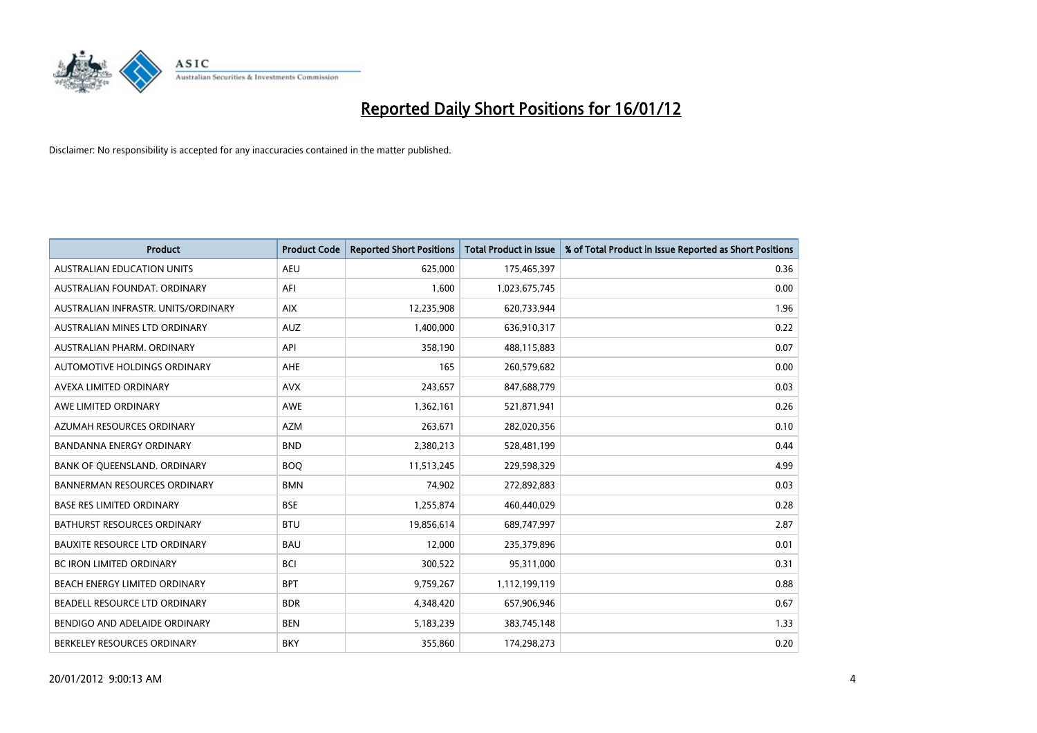

| <b>Product</b>                       | <b>Product Code</b> | <b>Reported Short Positions</b> | <b>Total Product in Issue</b> | % of Total Product in Issue Reported as Short Positions |
|--------------------------------------|---------------------|---------------------------------|-------------------------------|---------------------------------------------------------|
| <b>AUSTRALIAN EDUCATION UNITS</b>    | <b>AEU</b>          | 625,000                         | 175,465,397                   | 0.36                                                    |
| AUSTRALIAN FOUNDAT. ORDINARY         | AFI                 | 1,600                           | 1,023,675,745                 | 0.00                                                    |
| AUSTRALIAN INFRASTR. UNITS/ORDINARY  | <b>AIX</b>          | 12,235,908                      | 620,733,944                   | 1.96                                                    |
| AUSTRALIAN MINES LTD ORDINARY        | <b>AUZ</b>          | 1,400,000                       | 636,910,317                   | 0.22                                                    |
| AUSTRALIAN PHARM, ORDINARY           | API                 | 358,190                         | 488,115,883                   | 0.07                                                    |
| <b>AUTOMOTIVE HOLDINGS ORDINARY</b>  | AHE                 | 165                             | 260,579,682                   | 0.00                                                    |
| AVEXA LIMITED ORDINARY               | <b>AVX</b>          | 243,657                         | 847,688,779                   | 0.03                                                    |
| AWE LIMITED ORDINARY                 | AWE                 | 1,362,161                       | 521,871,941                   | 0.26                                                    |
| AZUMAH RESOURCES ORDINARY            | <b>AZM</b>          | 263,671                         | 282,020,356                   | 0.10                                                    |
| <b>BANDANNA ENERGY ORDINARY</b>      | <b>BND</b>          | 2,380,213                       | 528,481,199                   | 0.44                                                    |
| BANK OF QUEENSLAND. ORDINARY         | <b>BOQ</b>          | 11,513,245                      | 229,598,329                   | 4.99                                                    |
| <b>BANNERMAN RESOURCES ORDINARY</b>  | <b>BMN</b>          | 74,902                          | 272,892,883                   | 0.03                                                    |
| <b>BASE RES LIMITED ORDINARY</b>     | <b>BSE</b>          | 1,255,874                       | 460,440,029                   | 0.28                                                    |
| <b>BATHURST RESOURCES ORDINARY</b>   | <b>BTU</b>          | 19,856,614                      | 689,747,997                   | 2.87                                                    |
| <b>BAUXITE RESOURCE LTD ORDINARY</b> | <b>BAU</b>          | 12,000                          | 235,379,896                   | 0.01                                                    |
| BC IRON LIMITED ORDINARY             | <b>BCI</b>          | 300,522                         | 95,311,000                    | 0.31                                                    |
| BEACH ENERGY LIMITED ORDINARY        | <b>BPT</b>          | 9,759,267                       | 1,112,199,119                 | 0.88                                                    |
| BEADELL RESOURCE LTD ORDINARY        | <b>BDR</b>          | 4,348,420                       | 657,906,946                   | 0.67                                                    |
| BENDIGO AND ADELAIDE ORDINARY        | <b>BEN</b>          | 5,183,239                       | 383,745,148                   | 1.33                                                    |
| BERKELEY RESOURCES ORDINARY          | <b>BKY</b>          | 355,860                         | 174,298,273                   | 0.20                                                    |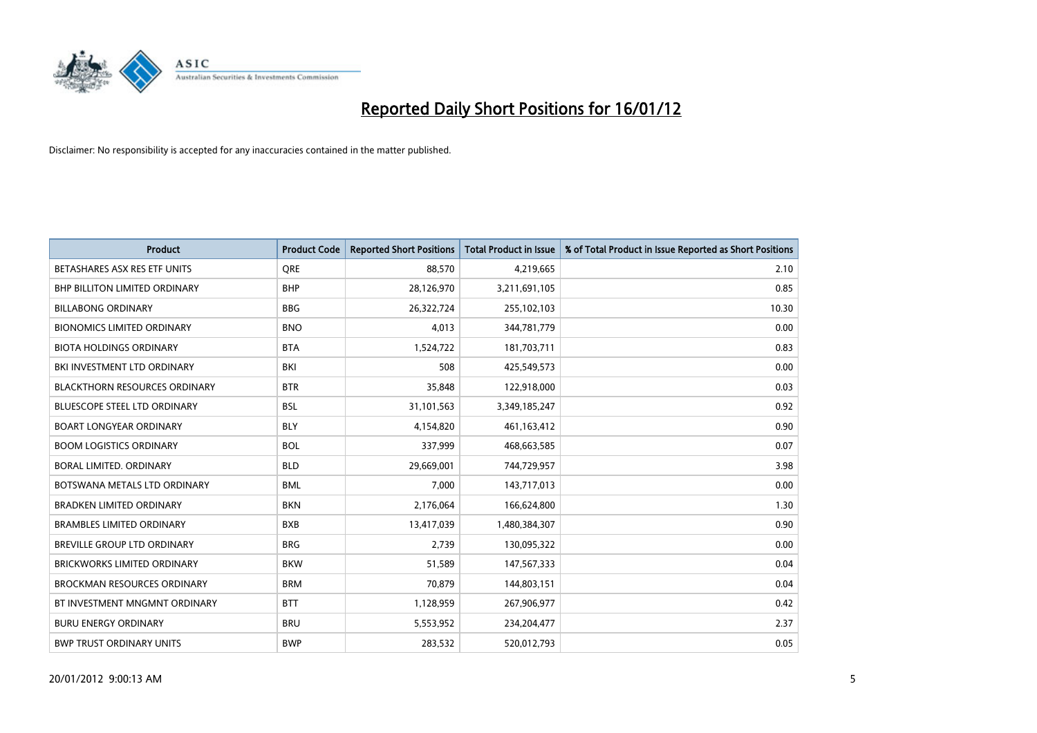

| <b>Product</b>                       | <b>Product Code</b> | <b>Reported Short Positions</b> | <b>Total Product in Issue</b> | % of Total Product in Issue Reported as Short Positions |
|--------------------------------------|---------------------|---------------------------------|-------------------------------|---------------------------------------------------------|
| BETASHARES ASX RES ETF UNITS         | <b>ORE</b>          | 88,570                          | 4,219,665                     | 2.10                                                    |
| <b>BHP BILLITON LIMITED ORDINARY</b> | <b>BHP</b>          | 28,126,970                      | 3,211,691,105                 | 0.85                                                    |
| <b>BILLABONG ORDINARY</b>            | <b>BBG</b>          | 26,322,724                      | 255,102,103                   | 10.30                                                   |
| <b>BIONOMICS LIMITED ORDINARY</b>    | <b>BNO</b>          | 4,013                           | 344,781,779                   | 0.00                                                    |
| <b>BIOTA HOLDINGS ORDINARY</b>       | <b>BTA</b>          | 1,524,722                       | 181,703,711                   | 0.83                                                    |
| BKI INVESTMENT LTD ORDINARY          | BKI                 | 508                             | 425,549,573                   | 0.00                                                    |
| <b>BLACKTHORN RESOURCES ORDINARY</b> | <b>BTR</b>          | 35,848                          | 122,918,000                   | 0.03                                                    |
| <b>BLUESCOPE STEEL LTD ORDINARY</b>  | <b>BSL</b>          | 31,101,563                      | 3,349,185,247                 | 0.92                                                    |
| <b>BOART LONGYEAR ORDINARY</b>       | <b>BLY</b>          | 4,154,820                       | 461,163,412                   | 0.90                                                    |
| <b>BOOM LOGISTICS ORDINARY</b>       | <b>BOL</b>          | 337,999                         | 468,663,585                   | 0.07                                                    |
| BORAL LIMITED. ORDINARY              | <b>BLD</b>          | 29,669,001                      | 744,729,957                   | 3.98                                                    |
| BOTSWANA METALS LTD ORDINARY         | <b>BML</b>          | 7,000                           | 143,717,013                   | 0.00                                                    |
| BRADKEN LIMITED ORDINARY             | <b>BKN</b>          | 2,176,064                       | 166,624,800                   | 1.30                                                    |
| <b>BRAMBLES LIMITED ORDINARY</b>     | <b>BXB</b>          | 13,417,039                      | 1,480,384,307                 | 0.90                                                    |
| BREVILLE GROUP LTD ORDINARY          | <b>BRG</b>          | 2,739                           | 130,095,322                   | 0.00                                                    |
| <b>BRICKWORKS LIMITED ORDINARY</b>   | <b>BKW</b>          | 51,589                          | 147,567,333                   | 0.04                                                    |
| <b>BROCKMAN RESOURCES ORDINARY</b>   | <b>BRM</b>          | 70,879                          | 144,803,151                   | 0.04                                                    |
| BT INVESTMENT MNGMNT ORDINARY        | <b>BTT</b>          | 1,128,959                       | 267,906,977                   | 0.42                                                    |
| <b>BURU ENERGY ORDINARY</b>          | <b>BRU</b>          | 5,553,952                       | 234,204,477                   | 2.37                                                    |
| <b>BWP TRUST ORDINARY UNITS</b>      | <b>BWP</b>          | 283,532                         | 520,012,793                   | 0.05                                                    |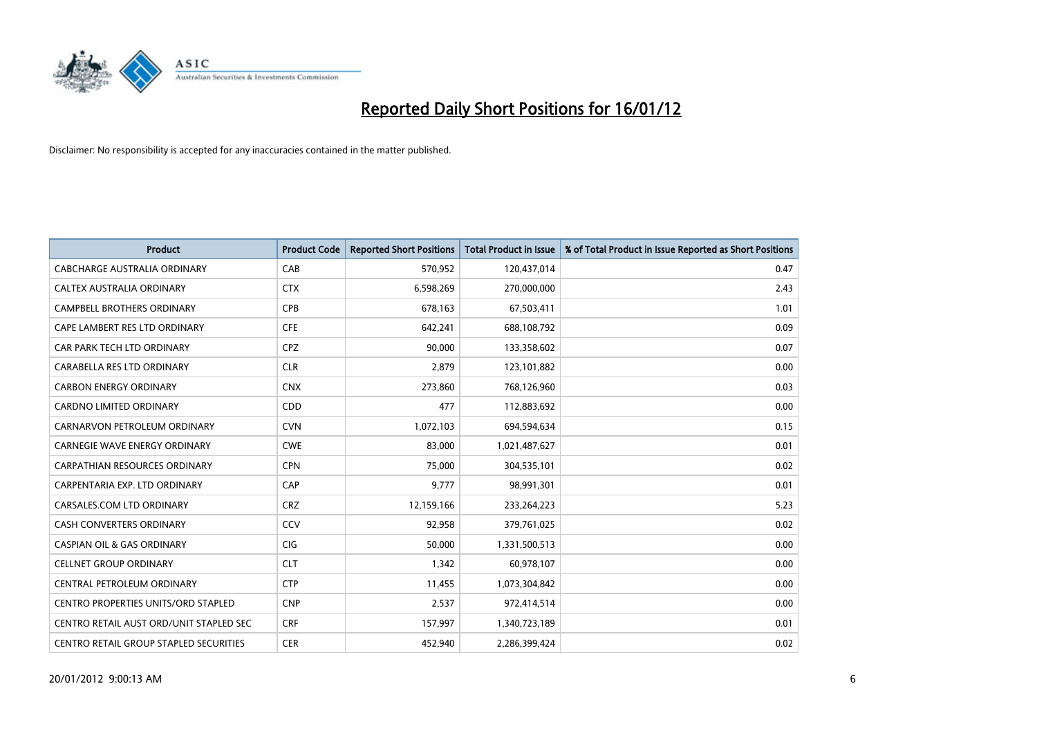

| <b>Product</b>                             | <b>Product Code</b> | <b>Reported Short Positions</b> | <b>Total Product in Issue</b> | % of Total Product in Issue Reported as Short Positions |
|--------------------------------------------|---------------------|---------------------------------|-------------------------------|---------------------------------------------------------|
| <b>CABCHARGE AUSTRALIA ORDINARY</b>        | CAB                 | 570,952                         | 120,437,014                   | 0.47                                                    |
| CALTEX AUSTRALIA ORDINARY                  | <b>CTX</b>          | 6,598,269                       | 270,000,000                   | 2.43                                                    |
| CAMPBELL BROTHERS ORDINARY                 | <b>CPB</b>          | 678,163                         | 67,503,411                    | 1.01                                                    |
| CAPE LAMBERT RES LTD ORDINARY              | <b>CFE</b>          | 642,241                         | 688,108,792                   | 0.09                                                    |
| CAR PARK TECH LTD ORDINARY                 | <b>CPZ</b>          | 90,000                          | 133,358,602                   | 0.07                                                    |
| CARABELLA RES LTD ORDINARY                 | <b>CLR</b>          | 2,879                           | 123,101,882                   | 0.00                                                    |
| <b>CARBON ENERGY ORDINARY</b>              | <b>CNX</b>          | 273,860                         | 768,126,960                   | 0.03                                                    |
| CARDNO LIMITED ORDINARY                    | CDD                 | 477                             | 112,883,692                   | 0.00                                                    |
| CARNARVON PETROLEUM ORDINARY               | <b>CVN</b>          | 1,072,103                       | 694,594,634                   | 0.15                                                    |
| <b>CARNEGIE WAVE ENERGY ORDINARY</b>       | <b>CWE</b>          | 83,000                          | 1,021,487,627                 | 0.01                                                    |
| CARPATHIAN RESOURCES ORDINARY              | <b>CPN</b>          | 75,000                          | 304,535,101                   | 0.02                                                    |
| CARPENTARIA EXP. LTD ORDINARY              | CAP                 | 9,777                           | 98,991,301                    | 0.01                                                    |
| CARSALES.COM LTD ORDINARY                  | <b>CRZ</b>          | 12,159,166                      | 233,264,223                   | 5.23                                                    |
| <b>CASH CONVERTERS ORDINARY</b>            | CCV                 | 92,958                          | 379,761,025                   | 0.02                                                    |
| <b>CASPIAN OIL &amp; GAS ORDINARY</b>      | <b>CIG</b>          | 50,000                          | 1,331,500,513                 | 0.00                                                    |
| <b>CELLNET GROUP ORDINARY</b>              | <b>CLT</b>          | 1,342                           | 60,978,107                    | 0.00                                                    |
| CENTRAL PETROLEUM ORDINARY                 | <b>CTP</b>          | 11,455                          | 1,073,304,842                 | 0.00                                                    |
| <b>CENTRO PROPERTIES UNITS/ORD STAPLED</b> | <b>CNP</b>          | 2,537                           | 972,414,514                   | 0.00                                                    |
| CENTRO RETAIL AUST ORD/UNIT STAPLED SEC    | <b>CRF</b>          | 157,997                         | 1,340,723,189                 | 0.01                                                    |
| CENTRO RETAIL GROUP STAPLED SECURITIES     | <b>CER</b>          | 452,940                         | 2,286,399,424                 | 0.02                                                    |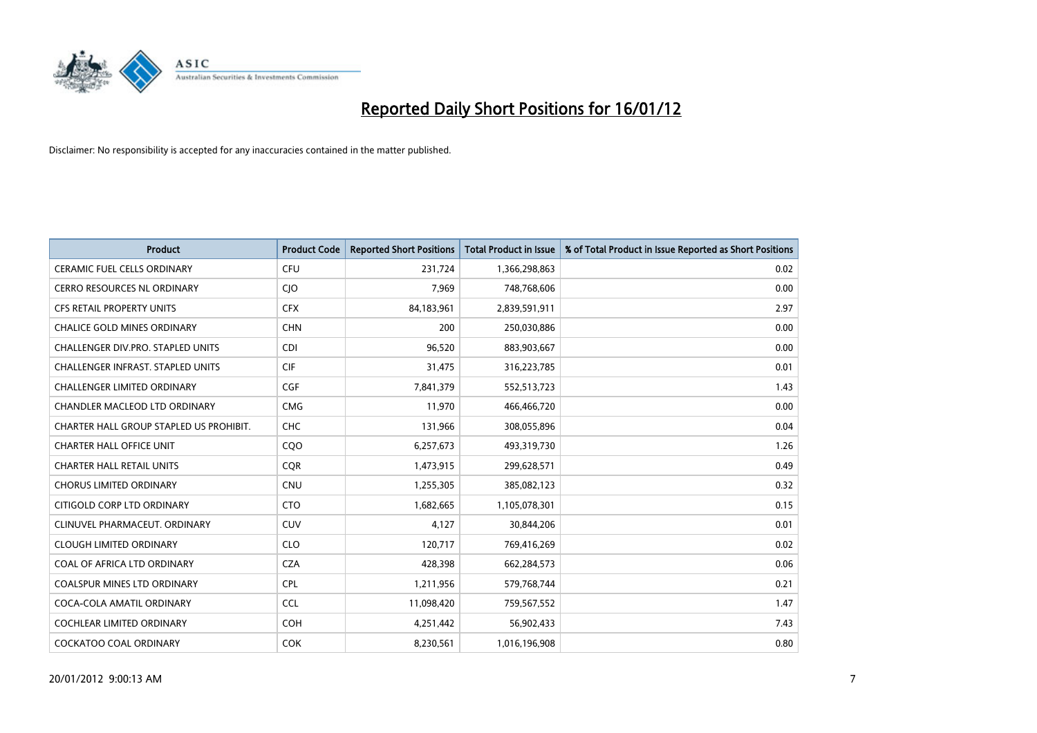

| <b>Product</b>                           | <b>Product Code</b> | <b>Reported Short Positions</b> | <b>Total Product in Issue</b> | % of Total Product in Issue Reported as Short Positions |
|------------------------------------------|---------------------|---------------------------------|-------------------------------|---------------------------------------------------------|
| <b>CERAMIC FUEL CELLS ORDINARY</b>       | <b>CFU</b>          | 231,724                         | 1,366,298,863                 | 0.02                                                    |
| CERRO RESOURCES NL ORDINARY              | CJO                 | 7,969                           | 748,768,606                   | 0.00                                                    |
| CFS RETAIL PROPERTY UNITS                | <b>CFX</b>          | 84,183,961                      | 2,839,591,911                 | 2.97                                                    |
| <b>CHALICE GOLD MINES ORDINARY</b>       | <b>CHN</b>          | 200                             | 250,030,886                   | 0.00                                                    |
| CHALLENGER DIV.PRO. STAPLED UNITS        | <b>CDI</b>          | 96,520                          | 883,903,667                   | 0.00                                                    |
| <b>CHALLENGER INFRAST, STAPLED UNITS</b> | <b>CIF</b>          | 31,475                          | 316,223,785                   | 0.01                                                    |
| <b>CHALLENGER LIMITED ORDINARY</b>       | <b>CGF</b>          | 7,841,379                       | 552,513,723                   | 1.43                                                    |
| CHANDLER MACLEOD LTD ORDINARY            | <b>CMG</b>          | 11,970                          | 466,466,720                   | 0.00                                                    |
| CHARTER HALL GROUP STAPLED US PROHIBIT.  | <b>CHC</b>          | 131,966                         | 308,055,896                   | 0.04                                                    |
| <b>CHARTER HALL OFFICE UNIT</b>          | CQO                 | 6,257,673                       | 493,319,730                   | 1.26                                                    |
| <b>CHARTER HALL RETAIL UNITS</b>         | <b>CQR</b>          | 1,473,915                       | 299,628,571                   | 0.49                                                    |
| <b>CHORUS LIMITED ORDINARY</b>           | <b>CNU</b>          | 1,255,305                       | 385,082,123                   | 0.32                                                    |
| CITIGOLD CORP LTD ORDINARY               | <b>CTO</b>          | 1,682,665                       | 1,105,078,301                 | 0.15                                                    |
| CLINUVEL PHARMACEUT, ORDINARY            | <b>CUV</b>          | 4,127                           | 30,844,206                    | 0.01                                                    |
| <b>CLOUGH LIMITED ORDINARY</b>           | <b>CLO</b>          | 120,717                         | 769,416,269                   | 0.02                                                    |
| COAL OF AFRICA LTD ORDINARY              | <b>CZA</b>          | 428,398                         | 662,284,573                   | 0.06                                                    |
| COALSPUR MINES LTD ORDINARY              | <b>CPL</b>          | 1,211,956                       | 579,768,744                   | 0.21                                                    |
| COCA-COLA AMATIL ORDINARY                | <b>CCL</b>          | 11,098,420                      | 759,567,552                   | 1.47                                                    |
| <b>COCHLEAR LIMITED ORDINARY</b>         | <b>COH</b>          | 4,251,442                       | 56,902,433                    | 7.43                                                    |
| <b>COCKATOO COAL ORDINARY</b>            | <b>COK</b>          | 8,230,561                       | 1,016,196,908                 | 0.80                                                    |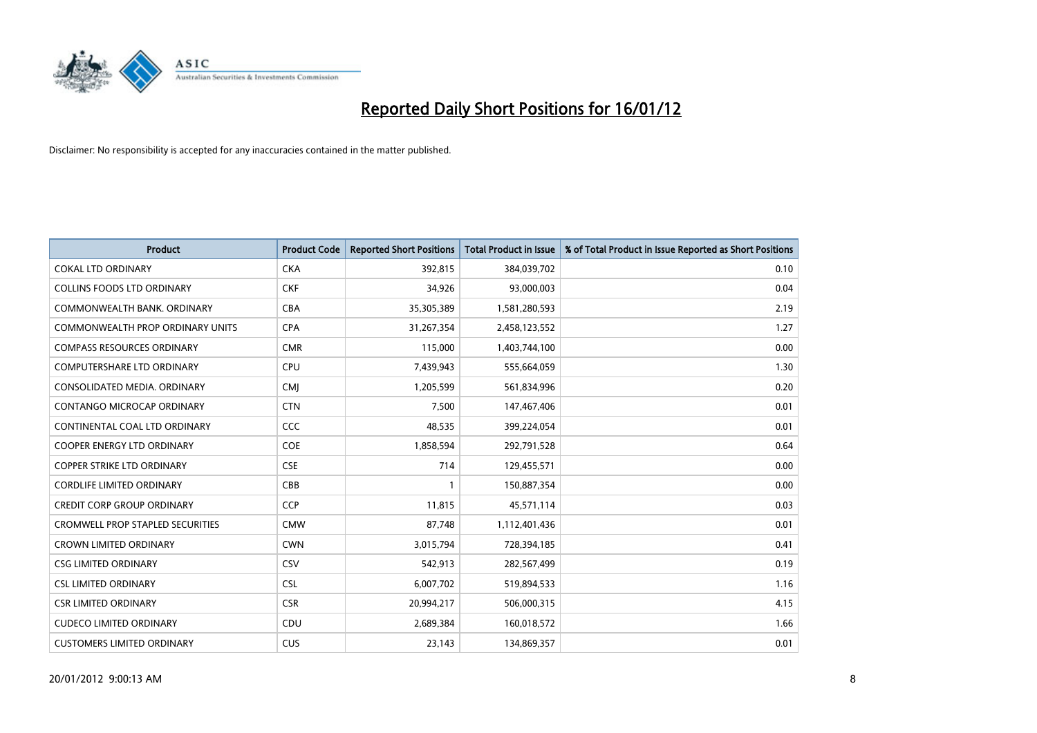

| <b>Product</b>                          | <b>Product Code</b> | <b>Reported Short Positions</b> | <b>Total Product in Issue</b> | % of Total Product in Issue Reported as Short Positions |
|-----------------------------------------|---------------------|---------------------------------|-------------------------------|---------------------------------------------------------|
| <b>COKAL LTD ORDINARY</b>               | <b>CKA</b>          | 392,815                         | 384,039,702                   | 0.10                                                    |
| COLLINS FOODS LTD ORDINARY              | <b>CKF</b>          | 34,926                          | 93,000,003                    | 0.04                                                    |
| COMMONWEALTH BANK, ORDINARY             | <b>CBA</b>          | 35,305,389                      | 1,581,280,593                 | 2.19                                                    |
| COMMONWEALTH PROP ORDINARY UNITS        | <b>CPA</b>          | 31,267,354                      | 2,458,123,552                 | 1.27                                                    |
| <b>COMPASS RESOURCES ORDINARY</b>       | <b>CMR</b>          | 115,000                         | 1,403,744,100                 | 0.00                                                    |
| <b>COMPUTERSHARE LTD ORDINARY</b>       | <b>CPU</b>          | 7,439,943                       | 555,664,059                   | 1.30                                                    |
| CONSOLIDATED MEDIA, ORDINARY            | <b>CMI</b>          | 1,205,599                       | 561,834,996                   | 0.20                                                    |
| CONTANGO MICROCAP ORDINARY              | <b>CTN</b>          | 7,500                           | 147,467,406                   | 0.01                                                    |
| CONTINENTAL COAL LTD ORDINARY           | <b>CCC</b>          | 48,535                          | 399,224,054                   | 0.01                                                    |
| <b>COOPER ENERGY LTD ORDINARY</b>       | <b>COE</b>          | 1,858,594                       | 292,791,528                   | 0.64                                                    |
| <b>COPPER STRIKE LTD ORDINARY</b>       | <b>CSE</b>          | 714                             | 129,455,571                   | 0.00                                                    |
| <b>CORDLIFE LIMITED ORDINARY</b>        | CBB                 | $\mathbf{1}$                    | 150,887,354                   | 0.00                                                    |
| <b>CREDIT CORP GROUP ORDINARY</b>       | <b>CCP</b>          | 11,815                          | 45,571,114                    | 0.03                                                    |
| <b>CROMWELL PROP STAPLED SECURITIES</b> | <b>CMW</b>          | 87,748                          | 1,112,401,436                 | 0.01                                                    |
| <b>CROWN LIMITED ORDINARY</b>           | <b>CWN</b>          | 3,015,794                       | 728,394,185                   | 0.41                                                    |
| <b>CSG LIMITED ORDINARY</b>             | CSV                 | 542,913                         | 282,567,499                   | 0.19                                                    |
| <b>CSL LIMITED ORDINARY</b>             | <b>CSL</b>          | 6,007,702                       | 519,894,533                   | 1.16                                                    |
| <b>CSR LIMITED ORDINARY</b>             | <b>CSR</b>          | 20,994,217                      | 506,000,315                   | 4.15                                                    |
| <b>CUDECO LIMITED ORDINARY</b>          | CDU                 | 2,689,384                       | 160,018,572                   | 1.66                                                    |
| <b>CUSTOMERS LIMITED ORDINARY</b>       | <b>CUS</b>          | 23,143                          | 134,869,357                   | 0.01                                                    |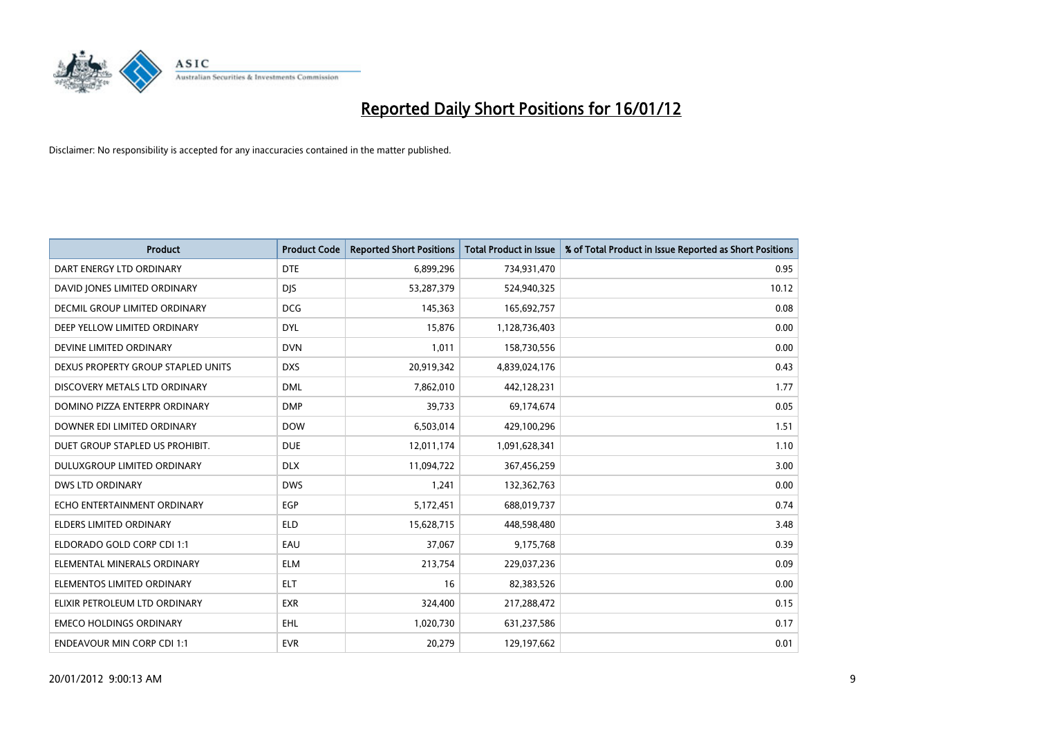

| <b>Product</b>                       | <b>Product Code</b> | <b>Reported Short Positions</b> | <b>Total Product in Issue</b> | % of Total Product in Issue Reported as Short Positions |
|--------------------------------------|---------------------|---------------------------------|-------------------------------|---------------------------------------------------------|
| DART ENERGY LTD ORDINARY             | <b>DTE</b>          | 6,899,296                       | 734,931,470                   | 0.95                                                    |
| DAVID JONES LIMITED ORDINARY         | <b>DJS</b>          | 53,287,379                      | 524,940,325                   | 10.12                                                   |
| <b>DECMIL GROUP LIMITED ORDINARY</b> | <b>DCG</b>          | 145,363                         | 165,692,757                   | 0.08                                                    |
| DEEP YELLOW LIMITED ORDINARY         | <b>DYL</b>          | 15,876                          | 1,128,736,403                 | 0.00                                                    |
| DEVINE LIMITED ORDINARY              | <b>DVN</b>          | 1,011                           | 158,730,556                   | 0.00                                                    |
| DEXUS PROPERTY GROUP STAPLED UNITS   | <b>DXS</b>          | 20,919,342                      | 4,839,024,176                 | 0.43                                                    |
| DISCOVERY METALS LTD ORDINARY        | <b>DML</b>          | 7,862,010                       | 442,128,231                   | 1.77                                                    |
| DOMINO PIZZA ENTERPR ORDINARY        | <b>DMP</b>          | 39,733                          | 69,174,674                    | 0.05                                                    |
| DOWNER EDI LIMITED ORDINARY          | <b>DOW</b>          | 6,503,014                       | 429,100,296                   | 1.51                                                    |
| DUET GROUP STAPLED US PROHIBIT.      | <b>DUE</b>          | 12,011,174                      | 1,091,628,341                 | 1.10                                                    |
| DULUXGROUP LIMITED ORDINARY          | <b>DLX</b>          | 11,094,722                      | 367,456,259                   | 3.00                                                    |
| <b>DWS LTD ORDINARY</b>              | <b>DWS</b>          | 1,241                           | 132,362,763                   | 0.00                                                    |
| ECHO ENTERTAINMENT ORDINARY          | <b>EGP</b>          | 5,172,451                       | 688,019,737                   | 0.74                                                    |
| <b>ELDERS LIMITED ORDINARY</b>       | <b>ELD</b>          | 15,628,715                      | 448,598,480                   | 3.48                                                    |
| ELDORADO GOLD CORP CDI 1:1           | EAU                 | 37,067                          | 9,175,768                     | 0.39                                                    |
| ELEMENTAL MINERALS ORDINARY          | <b>ELM</b>          | 213,754                         | 229,037,236                   | 0.09                                                    |
| ELEMENTOS LIMITED ORDINARY           | ELT                 | 16                              | 82,383,526                    | 0.00                                                    |
| ELIXIR PETROLEUM LTD ORDINARY        | <b>EXR</b>          | 324,400                         | 217,288,472                   | 0.15                                                    |
| <b>EMECO HOLDINGS ORDINARY</b>       | <b>EHL</b>          | 1,020,730                       | 631,237,586                   | 0.17                                                    |
| <b>ENDEAVOUR MIN CORP CDI 1:1</b>    | <b>EVR</b>          | 20,279                          | 129,197,662                   | 0.01                                                    |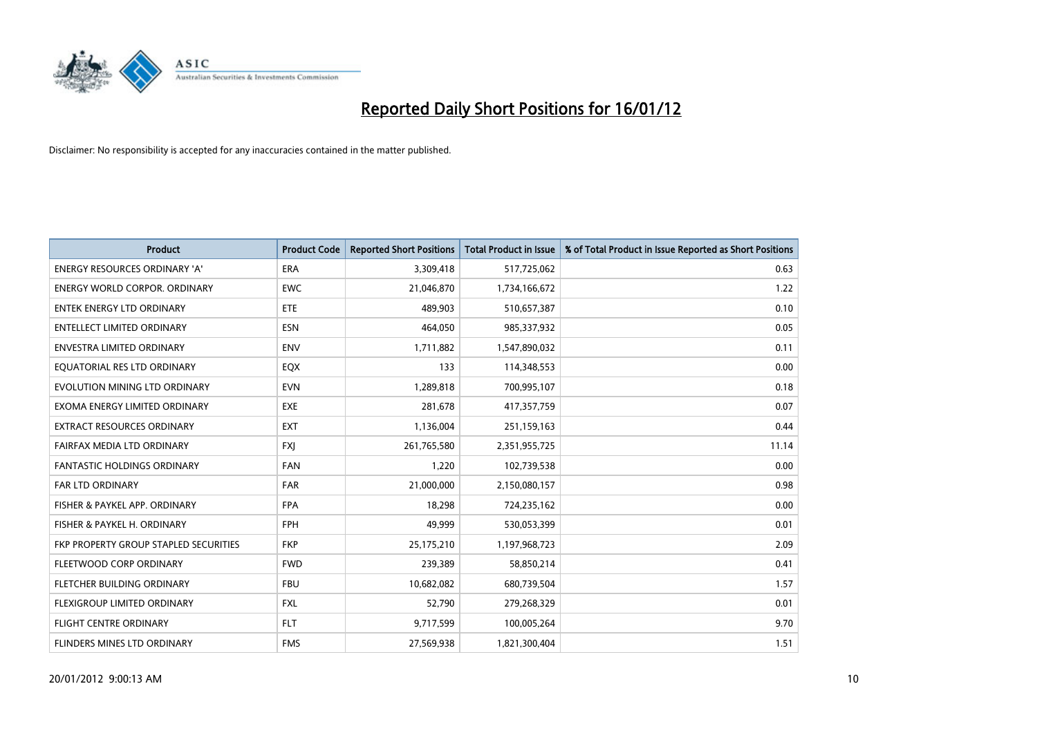

| <b>Product</b>                        | <b>Product Code</b> | <b>Reported Short Positions</b> | <b>Total Product in Issue</b> | % of Total Product in Issue Reported as Short Positions |
|---------------------------------------|---------------------|---------------------------------|-------------------------------|---------------------------------------------------------|
| <b>ENERGY RESOURCES ORDINARY 'A'</b>  | <b>ERA</b>          | 3,309,418                       | 517,725,062                   | 0.63                                                    |
| ENERGY WORLD CORPOR. ORDINARY         | <b>EWC</b>          | 21,046,870                      | 1,734,166,672                 | 1.22                                                    |
| <b>ENTEK ENERGY LTD ORDINARY</b>      | <b>ETE</b>          | 489,903                         | 510,657,387                   | 0.10                                                    |
| <b>ENTELLECT LIMITED ORDINARY</b>     | <b>ESN</b>          | 464,050                         | 985,337,932                   | 0.05                                                    |
| <b>ENVESTRA LIMITED ORDINARY</b>      | <b>ENV</b>          | 1,711,882                       | 1,547,890,032                 | 0.11                                                    |
| EQUATORIAL RES LTD ORDINARY           | EQX                 | 133                             | 114,348,553                   | 0.00                                                    |
| EVOLUTION MINING LTD ORDINARY         | <b>EVN</b>          | 1,289,818                       | 700,995,107                   | 0.18                                                    |
| EXOMA ENERGY LIMITED ORDINARY         | <b>EXE</b>          | 281,678                         | 417,357,759                   | 0.07                                                    |
| <b>EXTRACT RESOURCES ORDINARY</b>     | <b>EXT</b>          | 1,136,004                       | 251,159,163                   | 0.44                                                    |
| FAIRFAX MEDIA LTD ORDINARY            | <b>FXJ</b>          | 261,765,580                     | 2,351,955,725                 | 11.14                                                   |
| <b>FANTASTIC HOLDINGS ORDINARY</b>    | <b>FAN</b>          | 1,220                           | 102,739,538                   | 0.00                                                    |
| FAR LTD ORDINARY                      | <b>FAR</b>          | 21,000,000                      | 2,150,080,157                 | 0.98                                                    |
| FISHER & PAYKEL APP. ORDINARY         | <b>FPA</b>          | 18,298                          | 724,235,162                   | 0.00                                                    |
| FISHER & PAYKEL H. ORDINARY           | <b>FPH</b>          | 49,999                          | 530,053,399                   | 0.01                                                    |
| FKP PROPERTY GROUP STAPLED SECURITIES | <b>FKP</b>          | 25,175,210                      | 1,197,968,723                 | 2.09                                                    |
| FLEETWOOD CORP ORDINARY               | <b>FWD</b>          | 239,389                         | 58,850,214                    | 0.41                                                    |
| FLETCHER BUILDING ORDINARY            | <b>FBU</b>          | 10,682,082                      | 680,739,504                   | 1.57                                                    |
| FLEXIGROUP LIMITED ORDINARY           | <b>FXL</b>          | 52,790                          | 279,268,329                   | 0.01                                                    |
| FLIGHT CENTRE ORDINARY                | <b>FLT</b>          | 9,717,599                       | 100,005,264                   | 9.70                                                    |
| FLINDERS MINES LTD ORDINARY           | <b>FMS</b>          | 27,569,938                      | 1,821,300,404                 | 1.51                                                    |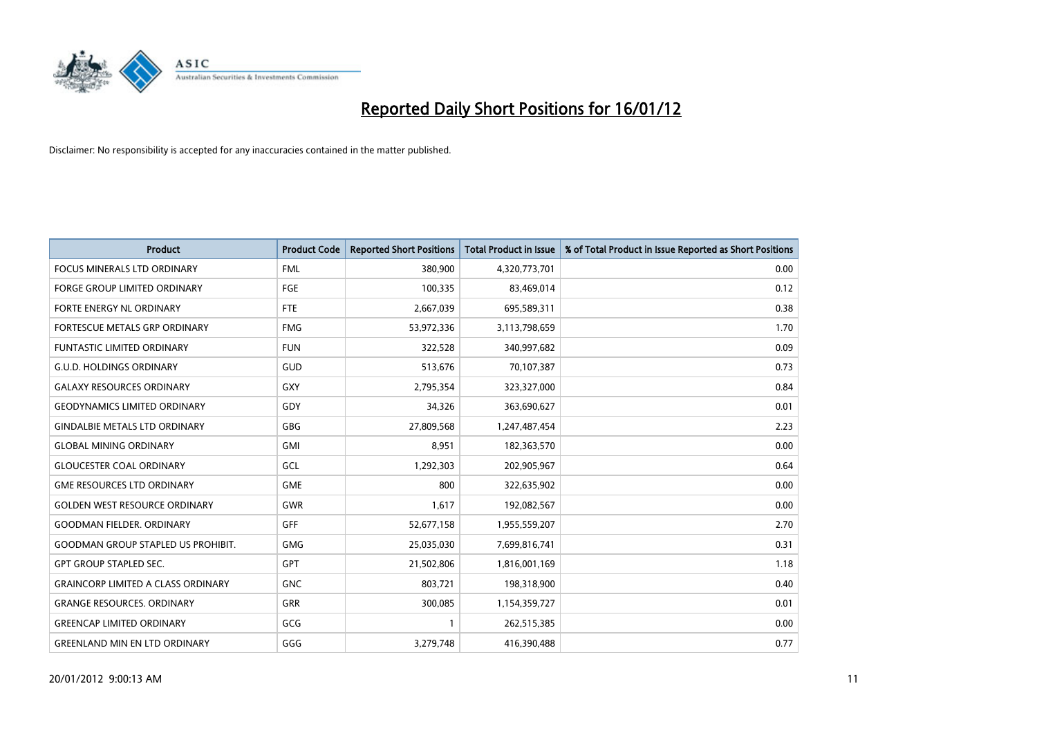

| <b>Product</b>                            | <b>Product Code</b> | <b>Reported Short Positions</b> | <b>Total Product in Issue</b> | % of Total Product in Issue Reported as Short Positions |
|-------------------------------------------|---------------------|---------------------------------|-------------------------------|---------------------------------------------------------|
| <b>FOCUS MINERALS LTD ORDINARY</b>        | <b>FML</b>          | 380,900                         | 4,320,773,701                 | 0.00                                                    |
| FORGE GROUP LIMITED ORDINARY              | FGE                 | 100,335                         | 83,469,014                    | 0.12                                                    |
| FORTE ENERGY NL ORDINARY                  | <b>FTE</b>          | 2,667,039                       | 695,589,311                   | 0.38                                                    |
| FORTESCUE METALS GRP ORDINARY             | <b>FMG</b>          | 53,972,336                      | 3,113,798,659                 | 1.70                                                    |
| <b>FUNTASTIC LIMITED ORDINARY</b>         | <b>FUN</b>          | 322,528                         | 340,997,682                   | 0.09                                                    |
| <b>G.U.D. HOLDINGS ORDINARY</b>           | <b>GUD</b>          | 513,676                         | 70,107,387                    | 0.73                                                    |
| <b>GALAXY RESOURCES ORDINARY</b>          | <b>GXY</b>          | 2,795,354                       | 323,327,000                   | 0.84                                                    |
| <b>GEODYNAMICS LIMITED ORDINARY</b>       | GDY                 | 34,326                          | 363,690,627                   | 0.01                                                    |
| <b>GINDALBIE METALS LTD ORDINARY</b>      | GBG                 | 27,809,568                      | 1,247,487,454                 | 2.23                                                    |
| <b>GLOBAL MINING ORDINARY</b>             | GMI                 | 8,951                           | 182,363,570                   | 0.00                                                    |
| <b>GLOUCESTER COAL ORDINARY</b>           | GCL                 | 1,292,303                       | 202,905,967                   | 0.64                                                    |
| <b>GME RESOURCES LTD ORDINARY</b>         | <b>GME</b>          | 800                             | 322,635,902                   | 0.00                                                    |
| <b>GOLDEN WEST RESOURCE ORDINARY</b>      | <b>GWR</b>          | 1,617                           | 192,082,567                   | 0.00                                                    |
| <b>GOODMAN FIELDER, ORDINARY</b>          | GFF                 | 52,677,158                      | 1,955,559,207                 | 2.70                                                    |
| <b>GOODMAN GROUP STAPLED US PROHIBIT.</b> | <b>GMG</b>          | 25,035,030                      | 7,699,816,741                 | 0.31                                                    |
| <b>GPT GROUP STAPLED SEC.</b>             | GPT                 | 21,502,806                      | 1,816,001,169                 | 1.18                                                    |
| <b>GRAINCORP LIMITED A CLASS ORDINARY</b> | <b>GNC</b>          | 803,721                         | 198,318,900                   | 0.40                                                    |
| <b>GRANGE RESOURCES. ORDINARY</b>         | GRR                 | 300,085                         | 1,154,359,727                 | 0.01                                                    |
| <b>GREENCAP LIMITED ORDINARY</b>          | GCG                 | 1                               | 262,515,385                   | 0.00                                                    |
| <b>GREENLAND MIN EN LTD ORDINARY</b>      | GGG                 | 3,279,748                       | 416,390,488                   | 0.77                                                    |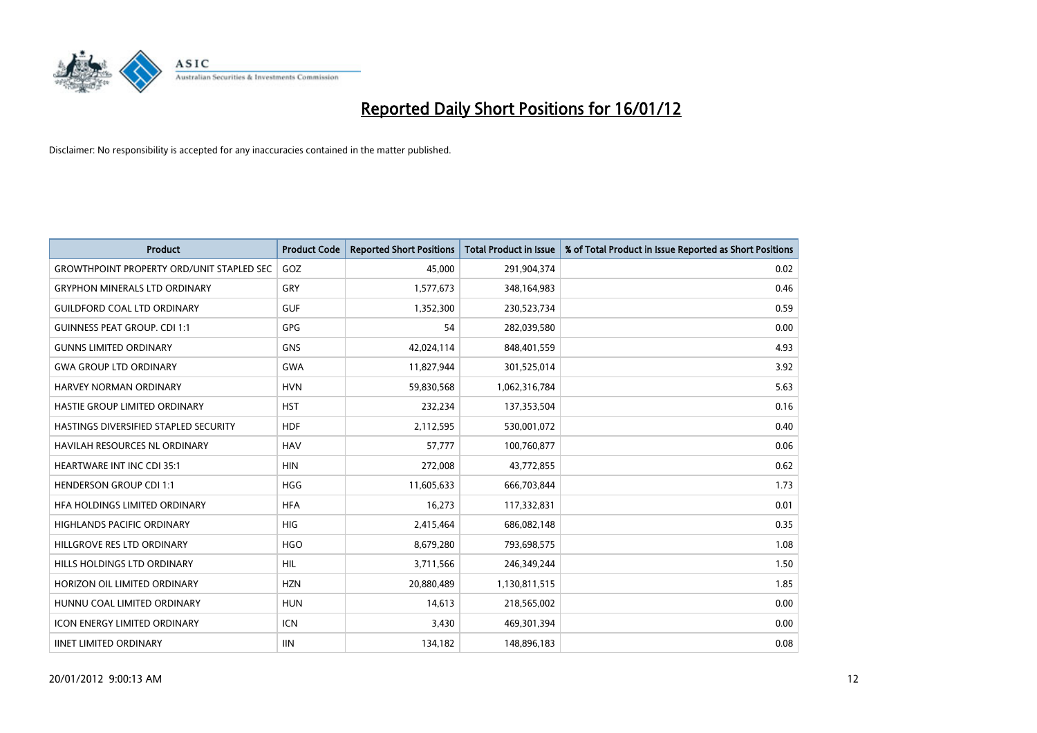

| <b>Product</b>                                   | <b>Product Code</b> | <b>Reported Short Positions</b> | <b>Total Product in Issue</b> | % of Total Product in Issue Reported as Short Positions |
|--------------------------------------------------|---------------------|---------------------------------|-------------------------------|---------------------------------------------------------|
| <b>GROWTHPOINT PROPERTY ORD/UNIT STAPLED SEC</b> | GOZ                 | 45,000                          | 291,904,374                   | 0.02                                                    |
| <b>GRYPHON MINERALS LTD ORDINARY</b>             | <b>GRY</b>          | 1,577,673                       | 348,164,983                   | 0.46                                                    |
| <b>GUILDFORD COAL LTD ORDINARY</b>               | <b>GUF</b>          | 1,352,300                       | 230,523,734                   | 0.59                                                    |
| <b>GUINNESS PEAT GROUP. CDI 1:1</b>              | GPG                 | 54                              | 282,039,580                   | 0.00                                                    |
| <b>GUNNS LIMITED ORDINARY</b>                    | <b>GNS</b>          | 42,024,114                      | 848,401,559                   | 4.93                                                    |
| <b>GWA GROUP LTD ORDINARY</b>                    | <b>GWA</b>          | 11,827,944                      | 301,525,014                   | 3.92                                                    |
| <b>HARVEY NORMAN ORDINARY</b>                    | <b>HVN</b>          | 59,830,568                      | 1,062,316,784                 | 5.63                                                    |
| HASTIE GROUP LIMITED ORDINARY                    | <b>HST</b>          | 232,234                         | 137,353,504                   | 0.16                                                    |
| HASTINGS DIVERSIFIED STAPLED SECURITY            | <b>HDF</b>          | 2,112,595                       | 530,001,072                   | 0.40                                                    |
| <b>HAVILAH RESOURCES NL ORDINARY</b>             | <b>HAV</b>          | 57,777                          | 100,760,877                   | 0.06                                                    |
| HEARTWARE INT INC CDI 35:1                       | <b>HIN</b>          | 272,008                         | 43,772,855                    | 0.62                                                    |
| <b>HENDERSON GROUP CDI 1:1</b>                   | <b>HGG</b>          | 11,605,633                      | 666,703,844                   | 1.73                                                    |
| HFA HOLDINGS LIMITED ORDINARY                    | <b>HFA</b>          | 16,273                          | 117,332,831                   | 0.01                                                    |
| <b>HIGHLANDS PACIFIC ORDINARY</b>                | HIG                 | 2,415,464                       | 686,082,148                   | 0.35                                                    |
| HILLGROVE RES LTD ORDINARY                       | <b>HGO</b>          | 8,679,280                       | 793,698,575                   | 1.08                                                    |
| HILLS HOLDINGS LTD ORDINARY                      | <b>HIL</b>          | 3,711,566                       | 246,349,244                   | 1.50                                                    |
| HORIZON OIL LIMITED ORDINARY                     | <b>HZN</b>          | 20,880,489                      | 1,130,811,515                 | 1.85                                                    |
| HUNNU COAL LIMITED ORDINARY                      | <b>HUN</b>          | 14,613                          | 218,565,002                   | 0.00                                                    |
| <b>ICON ENERGY LIMITED ORDINARY</b>              | ICN                 | 3,430                           | 469,301,394                   | 0.00                                                    |
| <b>IINET LIMITED ORDINARY</b>                    | <b>IIN</b>          | 134,182                         | 148,896,183                   | 0.08                                                    |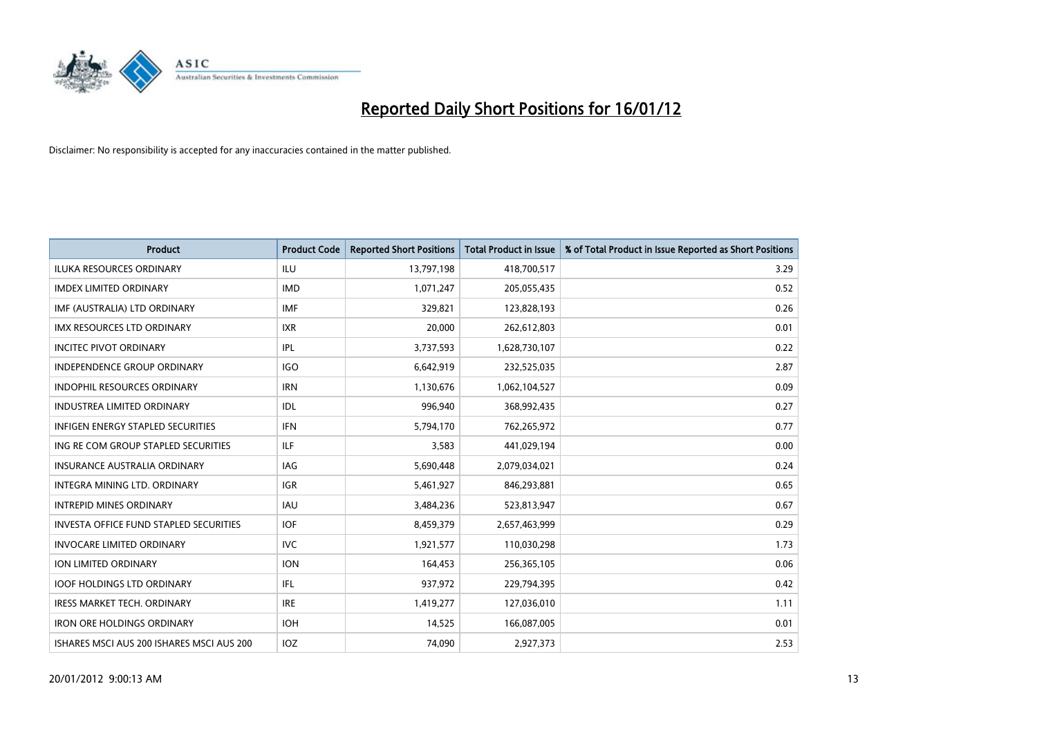

| <b>Product</b>                                | <b>Product Code</b> | <b>Reported Short Positions</b> | <b>Total Product in Issue</b> | % of Total Product in Issue Reported as Short Positions |
|-----------------------------------------------|---------------------|---------------------------------|-------------------------------|---------------------------------------------------------|
| <b>ILUKA RESOURCES ORDINARY</b>               | ILU                 | 13,797,198                      | 418,700,517                   | 3.29                                                    |
| <b>IMDEX LIMITED ORDINARY</b>                 | <b>IMD</b>          | 1,071,247                       | 205,055,435                   | 0.52                                                    |
| IMF (AUSTRALIA) LTD ORDINARY                  | <b>IMF</b>          | 329,821                         | 123,828,193                   | 0.26                                                    |
| IMX RESOURCES LTD ORDINARY                    | <b>IXR</b>          | 20,000                          | 262,612,803                   | 0.01                                                    |
| <b>INCITEC PIVOT ORDINARY</b>                 | <b>IPL</b>          | 3,737,593                       | 1,628,730,107                 | 0.22                                                    |
| <b>INDEPENDENCE GROUP ORDINARY</b>            | <b>IGO</b>          | 6,642,919                       | 232,525,035                   | 2.87                                                    |
| <b>INDOPHIL RESOURCES ORDINARY</b>            | <b>IRN</b>          | 1,130,676                       | 1,062,104,527                 | 0.09                                                    |
| <b>INDUSTREA LIMITED ORDINARY</b>             | <b>IDL</b>          | 996,940                         | 368,992,435                   | 0.27                                                    |
| <b>INFIGEN ENERGY STAPLED SECURITIES</b>      | <b>IFN</b>          | 5,794,170                       | 762,265,972                   | 0.77                                                    |
| ING RE COM GROUP STAPLED SECURITIES           | ILF.                | 3,583                           | 441,029,194                   | 0.00                                                    |
| <b>INSURANCE AUSTRALIA ORDINARY</b>           | <b>IAG</b>          | 5,690,448                       | 2,079,034,021                 | 0.24                                                    |
| <b>INTEGRA MINING LTD, ORDINARY</b>           | <b>IGR</b>          | 5,461,927                       | 846,293,881                   | 0.65                                                    |
| <b>INTREPID MINES ORDINARY</b>                | <b>IAU</b>          | 3,484,236                       | 523,813,947                   | 0.67                                                    |
| <b>INVESTA OFFICE FUND STAPLED SECURITIES</b> | <b>IOF</b>          | 8,459,379                       | 2,657,463,999                 | 0.29                                                    |
| <b>INVOCARE LIMITED ORDINARY</b>              | <b>IVC</b>          | 1,921,577                       | 110,030,298                   | 1.73                                                    |
| ION LIMITED ORDINARY                          | <b>ION</b>          | 164,453                         | 256,365,105                   | 0.06                                                    |
| <b>IOOF HOLDINGS LTD ORDINARY</b>             | IFL                 | 937,972                         | 229,794,395                   | 0.42                                                    |
| <b>IRESS MARKET TECH. ORDINARY</b>            | <b>IRE</b>          | 1,419,277                       | 127,036,010                   | 1.11                                                    |
| <b>IRON ORE HOLDINGS ORDINARY</b>             | <b>IOH</b>          | 14,525                          | 166,087,005                   | 0.01                                                    |
| ISHARES MSCI AUS 200 ISHARES MSCI AUS 200     | <b>IOZ</b>          | 74.090                          | 2,927,373                     | 2.53                                                    |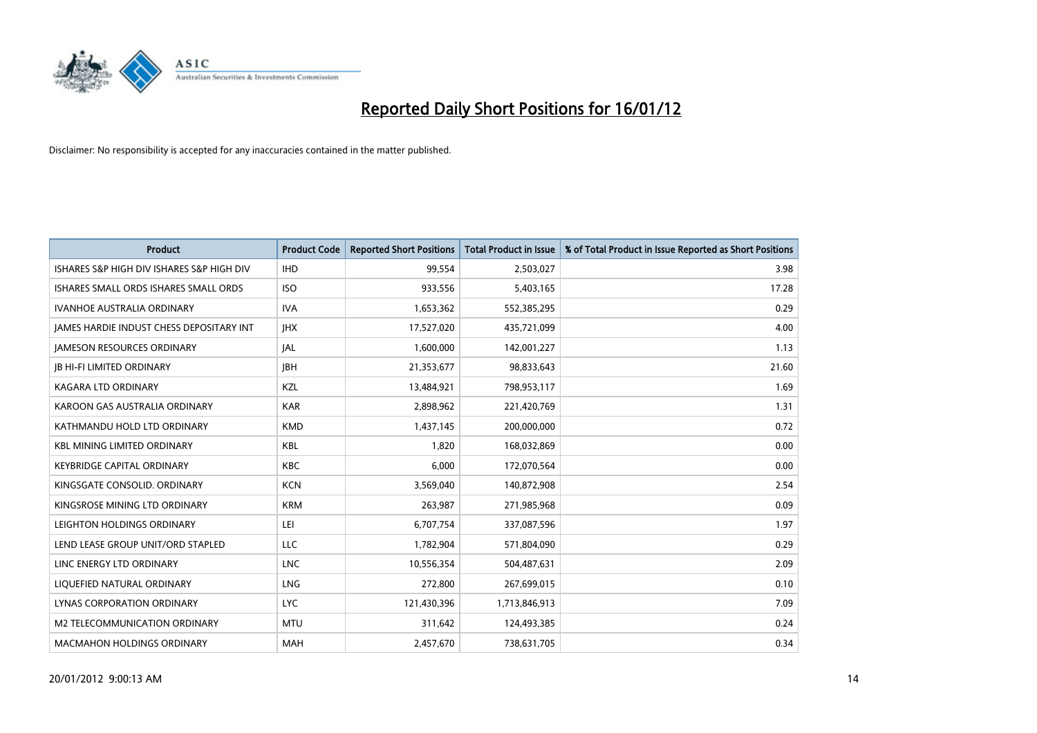

| Product                                         | <b>Product Code</b> | <b>Reported Short Positions</b> | <b>Total Product in Issue</b> | % of Total Product in Issue Reported as Short Positions |
|-------------------------------------------------|---------------------|---------------------------------|-------------------------------|---------------------------------------------------------|
| ISHARES S&P HIGH DIV ISHARES S&P HIGH DIV       | <b>IHD</b>          | 99,554                          | 2,503,027                     | 3.98                                                    |
| ISHARES SMALL ORDS ISHARES SMALL ORDS           | <b>ISO</b>          | 933,556                         | 5,403,165                     | 17.28                                                   |
| <b>IVANHOE AUSTRALIA ORDINARY</b>               | <b>IVA</b>          | 1,653,362                       | 552,385,295                   | 0.29                                                    |
| <b>JAMES HARDIE INDUST CHESS DEPOSITARY INT</b> | <b>IHX</b>          | 17,527,020                      | 435,721,099                   | 4.00                                                    |
| <b>IAMESON RESOURCES ORDINARY</b>               | JAL                 | 1,600,000                       | 142,001,227                   | 1.13                                                    |
| <b>JB HI-FI LIMITED ORDINARY</b>                | <b>JBH</b>          | 21,353,677                      | 98,833,643                    | 21.60                                                   |
| <b>KAGARA LTD ORDINARY</b>                      | KZL                 | 13,484,921                      | 798,953,117                   | 1.69                                                    |
| KAROON GAS AUSTRALIA ORDINARY                   | <b>KAR</b>          | 2,898,962                       | 221,420,769                   | 1.31                                                    |
| KATHMANDU HOLD LTD ORDINARY                     | <b>KMD</b>          | 1,437,145                       | 200,000,000                   | 0.72                                                    |
| <b>KBL MINING LIMITED ORDINARY</b>              | <b>KBL</b>          | 1,820                           | 168,032,869                   | 0.00                                                    |
| <b>KEYBRIDGE CAPITAL ORDINARY</b>               | <b>KBC</b>          | 6,000                           | 172,070,564                   | 0.00                                                    |
| KINGSGATE CONSOLID. ORDINARY                    | <b>KCN</b>          | 3,569,040                       | 140,872,908                   | 2.54                                                    |
| KINGSROSE MINING LTD ORDINARY                   | <b>KRM</b>          | 263,987                         | 271,985,968                   | 0.09                                                    |
| LEIGHTON HOLDINGS ORDINARY                      | LEI                 | 6,707,754                       | 337,087,596                   | 1.97                                                    |
| LEND LEASE GROUP UNIT/ORD STAPLED               | <b>LLC</b>          | 1,782,904                       | 571,804,090                   | 0.29                                                    |
| LINC ENERGY LTD ORDINARY                        | <b>LNC</b>          | 10,556,354                      | 504,487,631                   | 2.09                                                    |
| LIQUEFIED NATURAL ORDINARY                      | <b>LNG</b>          | 272,800                         | 267,699,015                   | 0.10                                                    |
| LYNAS CORPORATION ORDINARY                      | <b>LYC</b>          | 121,430,396                     | 1,713,846,913                 | 7.09                                                    |
| M2 TELECOMMUNICATION ORDINARY                   | <b>MTU</b>          | 311,642                         | 124,493,385                   | 0.24                                                    |
| <b>MACMAHON HOLDINGS ORDINARY</b>               | <b>MAH</b>          | 2,457,670                       | 738,631,705                   | 0.34                                                    |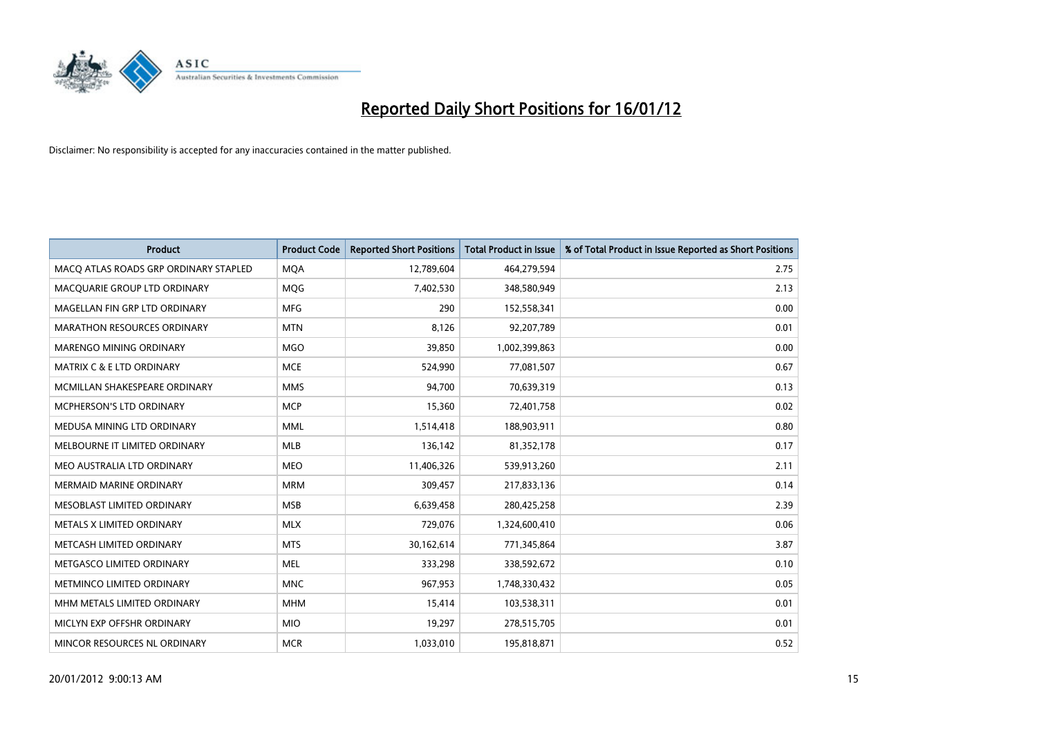

| <b>Product</b>                        | <b>Product Code</b> | <b>Reported Short Positions</b> | <b>Total Product in Issue</b> | % of Total Product in Issue Reported as Short Positions |
|---------------------------------------|---------------------|---------------------------------|-------------------------------|---------------------------------------------------------|
| MACO ATLAS ROADS GRP ORDINARY STAPLED | <b>MQA</b>          | 12,789,604                      | 464,279,594                   | 2.75                                                    |
| MACQUARIE GROUP LTD ORDINARY          | <b>MQG</b>          | 7,402,530                       | 348,580,949                   | 2.13                                                    |
| MAGELLAN FIN GRP LTD ORDINARY         | <b>MFG</b>          | 290                             | 152,558,341                   | 0.00                                                    |
| <b>MARATHON RESOURCES ORDINARY</b>    | <b>MTN</b>          | 8,126                           | 92,207,789                    | 0.01                                                    |
| MARENGO MINING ORDINARY               | <b>MGO</b>          | 39,850                          | 1,002,399,863                 | 0.00                                                    |
| <b>MATRIX C &amp; E LTD ORDINARY</b>  | <b>MCE</b>          | 524,990                         | 77,081,507                    | 0.67                                                    |
| MCMILLAN SHAKESPEARE ORDINARY         | <b>MMS</b>          | 94,700                          | 70,639,319                    | 0.13                                                    |
| <b>MCPHERSON'S LTD ORDINARY</b>       | <b>MCP</b>          | 15,360                          | 72,401,758                    | 0.02                                                    |
| MEDUSA MINING LTD ORDINARY            | <b>MML</b>          | 1,514,418                       | 188,903,911                   | 0.80                                                    |
| MELBOURNE IT LIMITED ORDINARY         | <b>MLB</b>          | 136,142                         | 81,352,178                    | 0.17                                                    |
| MEO AUSTRALIA LTD ORDINARY            | <b>MEO</b>          | 11,406,326                      | 539,913,260                   | 2.11                                                    |
| <b>MERMAID MARINE ORDINARY</b>        | <b>MRM</b>          | 309,457                         | 217,833,136                   | 0.14                                                    |
| MESOBLAST LIMITED ORDINARY            | <b>MSB</b>          | 6,639,458                       | 280,425,258                   | 2.39                                                    |
| METALS X LIMITED ORDINARY             | <b>MLX</b>          | 729,076                         | 1,324,600,410                 | 0.06                                                    |
| METCASH LIMITED ORDINARY              | <b>MTS</b>          | 30,162,614                      | 771,345,864                   | 3.87                                                    |
| METGASCO LIMITED ORDINARY             | <b>MEL</b>          | 333,298                         | 338,592,672                   | 0.10                                                    |
| METMINCO LIMITED ORDINARY             | <b>MNC</b>          | 967,953                         | 1,748,330,432                 | 0.05                                                    |
| MHM METALS LIMITED ORDINARY           | <b>MHM</b>          | 15,414                          | 103,538,311                   | 0.01                                                    |
| MICLYN EXP OFFSHR ORDINARY            | <b>MIO</b>          | 19,297                          | 278,515,705                   | 0.01                                                    |
| MINCOR RESOURCES NL ORDINARY          | <b>MCR</b>          | 1,033,010                       | 195,818,871                   | 0.52                                                    |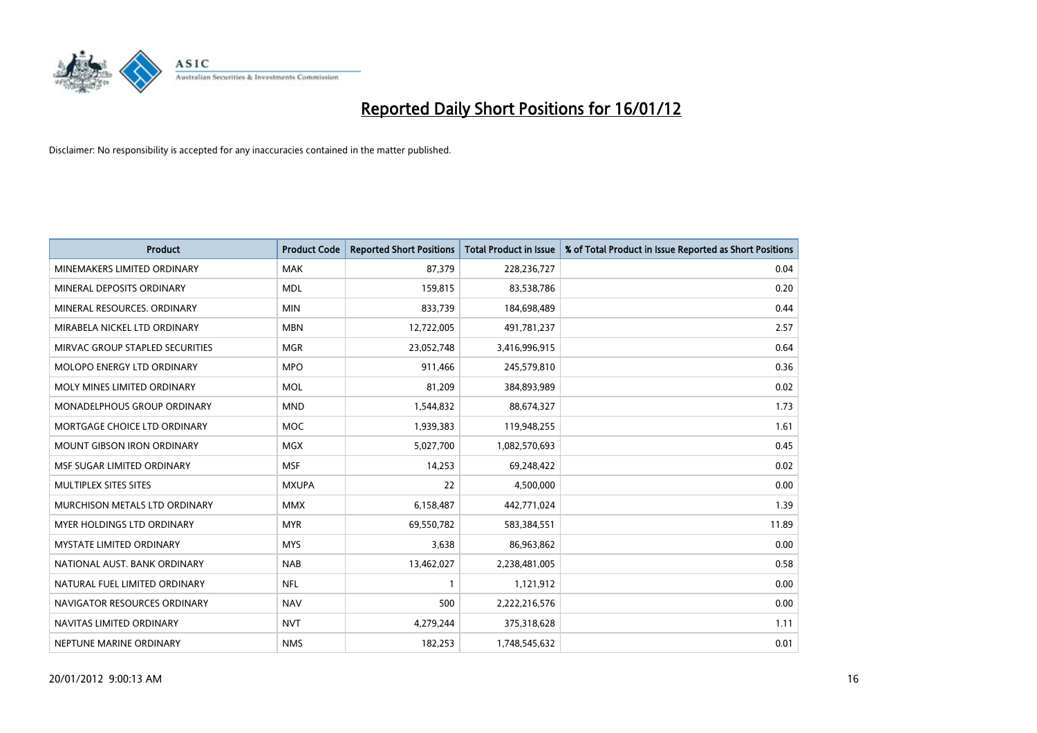

| <b>Product</b>                     | <b>Product Code</b> | <b>Reported Short Positions</b> | <b>Total Product in Issue</b> | % of Total Product in Issue Reported as Short Positions |
|------------------------------------|---------------------|---------------------------------|-------------------------------|---------------------------------------------------------|
| MINEMAKERS LIMITED ORDINARY        | <b>MAK</b>          | 87,379                          | 228,236,727                   | 0.04                                                    |
| MINERAL DEPOSITS ORDINARY          | <b>MDL</b>          | 159,815                         | 83,538,786                    | 0.20                                                    |
| MINERAL RESOURCES. ORDINARY        | <b>MIN</b>          | 833,739                         | 184,698,489                   | 0.44                                                    |
| MIRABELA NICKEL LTD ORDINARY       | <b>MBN</b>          | 12,722,005                      | 491,781,237                   | 2.57                                                    |
| MIRVAC GROUP STAPLED SECURITIES    | <b>MGR</b>          | 23,052,748                      | 3,416,996,915                 | 0.64                                                    |
| MOLOPO ENERGY LTD ORDINARY         | <b>MPO</b>          | 911,466                         | 245,579,810                   | 0.36                                                    |
| MOLY MINES LIMITED ORDINARY        | <b>MOL</b>          | 81,209                          | 384,893,989                   | 0.02                                                    |
| <b>MONADELPHOUS GROUP ORDINARY</b> | <b>MND</b>          | 1,544,832                       | 88,674,327                    | 1.73                                                    |
| MORTGAGE CHOICE LTD ORDINARY       | <b>MOC</b>          | 1,939,383                       | 119,948,255                   | 1.61                                                    |
| <b>MOUNT GIBSON IRON ORDINARY</b>  | <b>MGX</b>          | 5,027,700                       | 1,082,570,693                 | 0.45                                                    |
| MSF SUGAR LIMITED ORDINARY         | <b>MSF</b>          | 14,253                          | 69,248,422                    | 0.02                                                    |
| MULTIPLEX SITES SITES              | <b>MXUPA</b>        | 22                              | 4,500,000                     | 0.00                                                    |
| MURCHISON METALS LTD ORDINARY      | <b>MMX</b>          | 6,158,487                       | 442,771,024                   | 1.39                                                    |
| <b>MYER HOLDINGS LTD ORDINARY</b>  | <b>MYR</b>          | 69,550,782                      | 583,384,551                   | 11.89                                                   |
| <b>MYSTATE LIMITED ORDINARY</b>    | <b>MYS</b>          | 3,638                           | 86,963,862                    | 0.00                                                    |
| NATIONAL AUST. BANK ORDINARY       | <b>NAB</b>          | 13,462,027                      | 2,238,481,005                 | 0.58                                                    |
| NATURAL FUEL LIMITED ORDINARY      | <b>NFL</b>          | $\mathbf{1}$                    | 1,121,912                     | 0.00                                                    |
| NAVIGATOR RESOURCES ORDINARY       | <b>NAV</b>          | 500                             | 2,222,216,576                 | 0.00                                                    |
| NAVITAS LIMITED ORDINARY           | <b>NVT</b>          | 4,279,244                       | 375,318,628                   | 1.11                                                    |
| NEPTUNE MARINE ORDINARY            | <b>NMS</b>          | 182,253                         | 1,748,545,632                 | 0.01                                                    |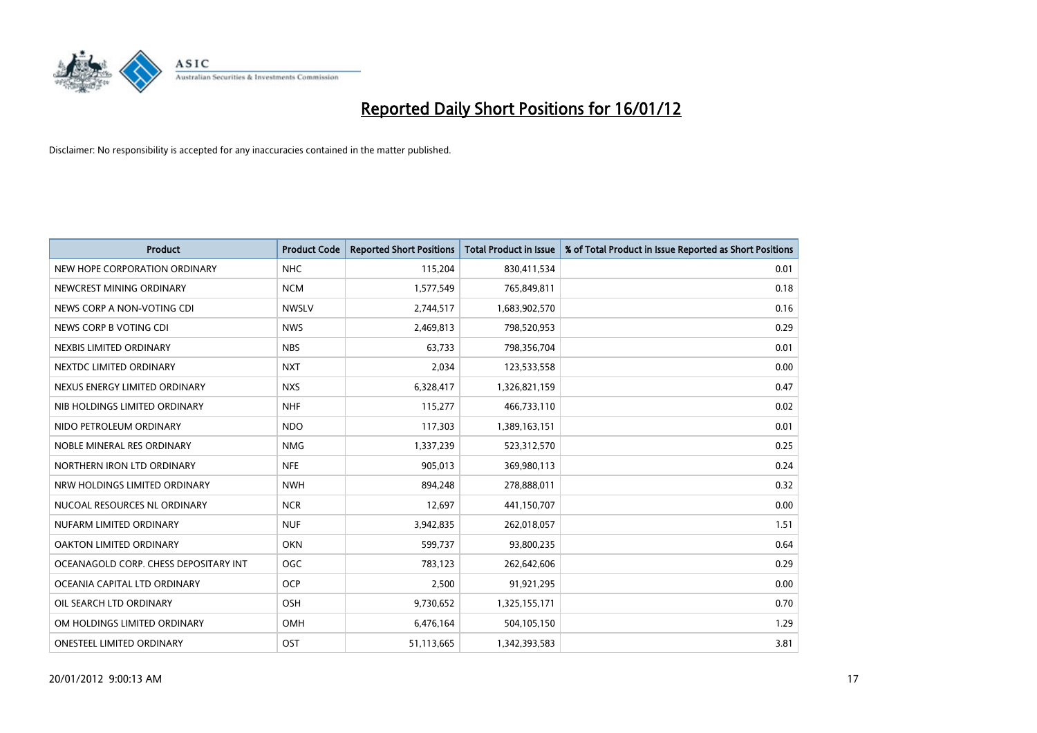

| <b>Product</b>                        | <b>Product Code</b> | <b>Reported Short Positions</b> | <b>Total Product in Issue</b> | % of Total Product in Issue Reported as Short Positions |
|---------------------------------------|---------------------|---------------------------------|-------------------------------|---------------------------------------------------------|
| NEW HOPE CORPORATION ORDINARY         | <b>NHC</b>          | 115,204                         | 830,411,534                   | 0.01                                                    |
| NEWCREST MINING ORDINARY              | <b>NCM</b>          | 1,577,549                       | 765,849,811                   | 0.18                                                    |
| NEWS CORP A NON-VOTING CDI            | <b>NWSLV</b>        | 2,744,517                       | 1,683,902,570                 | 0.16                                                    |
| NEWS CORP B VOTING CDI                | <b>NWS</b>          | 2,469,813                       | 798,520,953                   | 0.29                                                    |
| NEXBIS LIMITED ORDINARY               | <b>NBS</b>          | 63,733                          | 798,356,704                   | 0.01                                                    |
| NEXTDC LIMITED ORDINARY               | <b>NXT</b>          | 2,034                           | 123,533,558                   | 0.00                                                    |
| NEXUS ENERGY LIMITED ORDINARY         | <b>NXS</b>          | 6,328,417                       | 1,326,821,159                 | 0.47                                                    |
| NIB HOLDINGS LIMITED ORDINARY         | <b>NHF</b>          | 115,277                         | 466,733,110                   | 0.02                                                    |
| NIDO PETROLEUM ORDINARY               | <b>NDO</b>          | 117,303                         | 1,389,163,151                 | 0.01                                                    |
| NOBLE MINERAL RES ORDINARY            | <b>NMG</b>          | 1,337,239                       | 523,312,570                   | 0.25                                                    |
| NORTHERN IRON LTD ORDINARY            | <b>NFE</b>          | 905,013                         | 369,980,113                   | 0.24                                                    |
| NRW HOLDINGS LIMITED ORDINARY         | <b>NWH</b>          | 894,248                         | 278,888,011                   | 0.32                                                    |
| NUCOAL RESOURCES NL ORDINARY          | <b>NCR</b>          | 12,697                          | 441,150,707                   | 0.00                                                    |
| NUFARM LIMITED ORDINARY               | <b>NUF</b>          | 3,942,835                       | 262,018,057                   | 1.51                                                    |
| OAKTON LIMITED ORDINARY               | <b>OKN</b>          | 599,737                         | 93,800,235                    | 0.64                                                    |
| OCEANAGOLD CORP. CHESS DEPOSITARY INT | <b>OGC</b>          | 783,123                         | 262,642,606                   | 0.29                                                    |
| OCEANIA CAPITAL LTD ORDINARY          | <b>OCP</b>          | 2,500                           | 91,921,295                    | 0.00                                                    |
| OIL SEARCH LTD ORDINARY               | OSH                 | 9,730,652                       | 1,325,155,171                 | 0.70                                                    |
| OM HOLDINGS LIMITED ORDINARY          | <b>OMH</b>          | 6,476,164                       | 504,105,150                   | 1.29                                                    |
| ONESTEEL LIMITED ORDINARY             | OST                 | 51,113,665                      | 1,342,393,583                 | 3.81                                                    |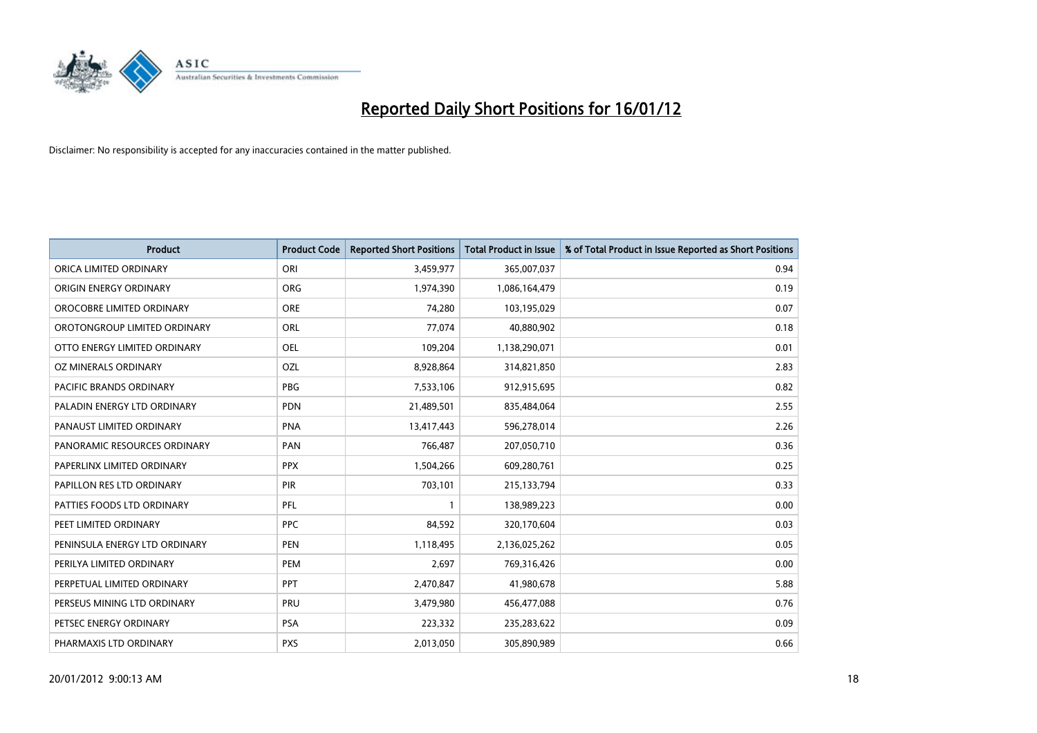

| <b>Product</b>                 | <b>Product Code</b> | <b>Reported Short Positions</b> | <b>Total Product in Issue</b> | % of Total Product in Issue Reported as Short Positions |
|--------------------------------|---------------------|---------------------------------|-------------------------------|---------------------------------------------------------|
| ORICA LIMITED ORDINARY         | ORI                 | 3,459,977                       | 365,007,037                   | 0.94                                                    |
| ORIGIN ENERGY ORDINARY         | <b>ORG</b>          | 1,974,390                       | 1,086,164,479                 | 0.19                                                    |
| OROCOBRE LIMITED ORDINARY      | <b>ORE</b>          | 74,280                          | 103,195,029                   | 0.07                                                    |
| OROTONGROUP LIMITED ORDINARY   | ORL                 | 77,074                          | 40,880,902                    | 0.18                                                    |
| OTTO ENERGY LIMITED ORDINARY   | <b>OEL</b>          | 109,204                         | 1,138,290,071                 | 0.01                                                    |
| OZ MINERALS ORDINARY           | OZL                 | 8,928,864                       | 314,821,850                   | 2.83                                                    |
| <b>PACIFIC BRANDS ORDINARY</b> | <b>PBG</b>          | 7,533,106                       | 912,915,695                   | 0.82                                                    |
| PALADIN ENERGY LTD ORDINARY    | <b>PDN</b>          | 21,489,501                      | 835,484,064                   | 2.55                                                    |
| PANAUST LIMITED ORDINARY       | <b>PNA</b>          | 13,417,443                      | 596,278,014                   | 2.26                                                    |
| PANORAMIC RESOURCES ORDINARY   | PAN                 | 766,487                         | 207,050,710                   | 0.36                                                    |
| PAPERLINX LIMITED ORDINARY     | <b>PPX</b>          | 1,504,266                       | 609,280,761                   | 0.25                                                    |
| PAPILLON RES LTD ORDINARY      | <b>PIR</b>          | 703,101                         | 215,133,794                   | 0.33                                                    |
| PATTIES FOODS LTD ORDINARY     | PFL                 | $\mathbf{1}$                    | 138,989,223                   | 0.00                                                    |
| PEET LIMITED ORDINARY          | <b>PPC</b>          | 84,592                          | 320,170,604                   | 0.03                                                    |
| PENINSULA ENERGY LTD ORDINARY  | <b>PEN</b>          | 1,118,495                       | 2,136,025,262                 | 0.05                                                    |
| PERILYA LIMITED ORDINARY       | PEM                 | 2,697                           | 769,316,426                   | 0.00                                                    |
| PERPETUAL LIMITED ORDINARY     | <b>PPT</b>          | 2,470,847                       | 41,980,678                    | 5.88                                                    |
| PERSEUS MINING LTD ORDINARY    | <b>PRU</b>          | 3,479,980                       | 456,477,088                   | 0.76                                                    |
| PETSEC ENERGY ORDINARY         | <b>PSA</b>          | 223,332                         | 235,283,622                   | 0.09                                                    |
| PHARMAXIS LTD ORDINARY         | <b>PXS</b>          | 2,013,050                       | 305,890,989                   | 0.66                                                    |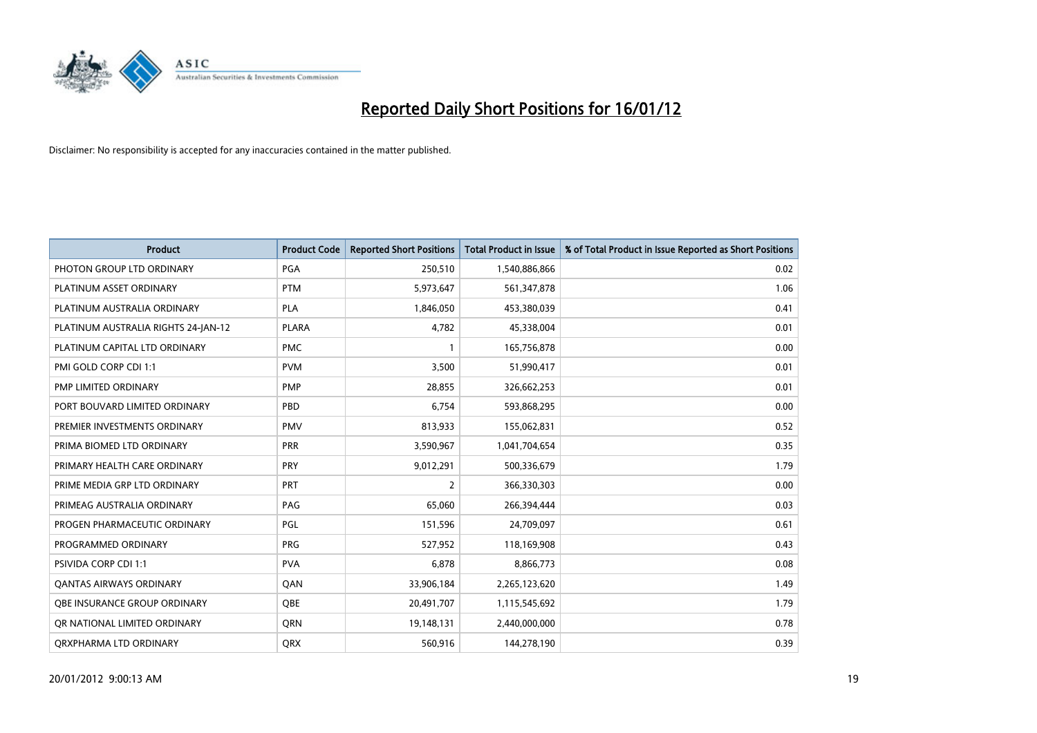

| <b>Product</b>                      | <b>Product Code</b> | <b>Reported Short Positions</b> | <b>Total Product in Issue</b> | % of Total Product in Issue Reported as Short Positions |
|-------------------------------------|---------------------|---------------------------------|-------------------------------|---------------------------------------------------------|
| PHOTON GROUP LTD ORDINARY           | PGA                 | 250,510                         | 1,540,886,866                 | 0.02                                                    |
| PLATINUM ASSET ORDINARY             | <b>PTM</b>          | 5,973,647                       | 561,347,878                   | 1.06                                                    |
| PLATINUM AUSTRALIA ORDINARY         | <b>PLA</b>          | 1,846,050                       | 453,380,039                   | 0.41                                                    |
| PLATINUM AUSTRALIA RIGHTS 24-JAN-12 | <b>PLARA</b>        | 4,782                           | 45,338,004                    | 0.01                                                    |
| PLATINUM CAPITAL LTD ORDINARY       | <b>PMC</b>          | $\mathbf{1}$                    | 165,756,878                   | 0.00                                                    |
| PMI GOLD CORP CDI 1:1               | <b>PVM</b>          | 3,500                           | 51,990,417                    | 0.01                                                    |
| PMP LIMITED ORDINARY                | <b>PMP</b>          | 28,855                          | 326,662,253                   | 0.01                                                    |
| PORT BOUVARD LIMITED ORDINARY       | PBD                 | 6,754                           | 593,868,295                   | 0.00                                                    |
| PREMIER INVESTMENTS ORDINARY        | <b>PMV</b>          | 813,933                         | 155,062,831                   | 0.52                                                    |
| PRIMA BIOMED LTD ORDINARY           | <b>PRR</b>          | 3,590,967                       | 1,041,704,654                 | 0.35                                                    |
| PRIMARY HEALTH CARE ORDINARY        | <b>PRY</b>          | 9,012,291                       | 500,336,679                   | 1.79                                                    |
| PRIME MEDIA GRP LTD ORDINARY        | <b>PRT</b>          | $\overline{2}$                  | 366,330,303                   | 0.00                                                    |
| PRIMEAG AUSTRALIA ORDINARY          | PAG                 | 65,060                          | 266,394,444                   | 0.03                                                    |
| PROGEN PHARMACEUTIC ORDINARY        | <b>PGL</b>          | 151,596                         | 24,709,097                    | 0.61                                                    |
| PROGRAMMED ORDINARY                 | <b>PRG</b>          | 527,952                         | 118,169,908                   | 0.43                                                    |
| PSIVIDA CORP CDI 1:1                | <b>PVA</b>          | 6,878                           | 8,866,773                     | 0.08                                                    |
| <b>QANTAS AIRWAYS ORDINARY</b>      | QAN                 | 33,906,184                      | 2,265,123,620                 | 1.49                                                    |
| OBE INSURANCE GROUP ORDINARY        | <b>OBE</b>          | 20,491,707                      | 1,115,545,692                 | 1.79                                                    |
| OR NATIONAL LIMITED ORDINARY        | <b>ORN</b>          | 19,148,131                      | 2,440,000,000                 | 0.78                                                    |
| ORXPHARMA LTD ORDINARY              | QRX                 | 560,916                         | 144,278,190                   | 0.39                                                    |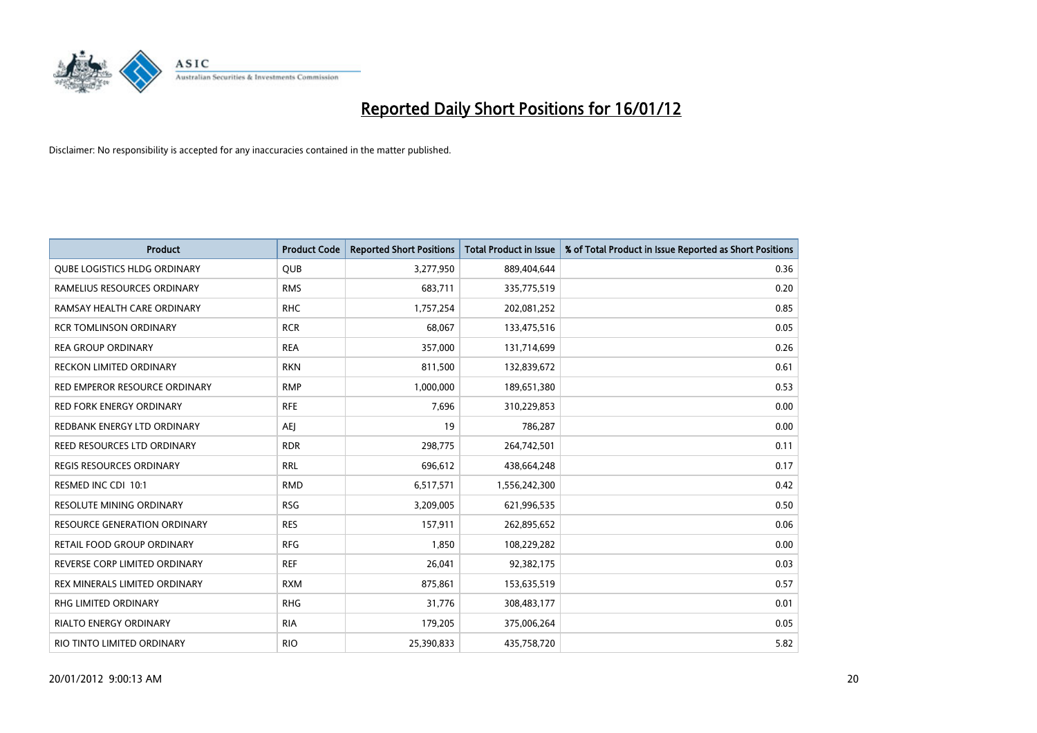

| <b>Product</b>                      | <b>Product Code</b> | <b>Reported Short Positions</b> | <b>Total Product in Issue</b> | % of Total Product in Issue Reported as Short Positions |
|-------------------------------------|---------------------|---------------------------------|-------------------------------|---------------------------------------------------------|
| QUBE LOGISTICS HLDG ORDINARY        | <b>QUB</b>          | 3,277,950                       | 889,404,644                   | 0.36                                                    |
| RAMELIUS RESOURCES ORDINARY         | <b>RMS</b>          | 683,711                         | 335,775,519                   | 0.20                                                    |
| RAMSAY HEALTH CARE ORDINARY         | <b>RHC</b>          | 1,757,254                       | 202,081,252                   | 0.85                                                    |
| <b>RCR TOMLINSON ORDINARY</b>       | <b>RCR</b>          | 68,067                          | 133,475,516                   | 0.05                                                    |
| <b>REA GROUP ORDINARY</b>           | <b>REA</b>          | 357,000                         | 131,714,699                   | 0.26                                                    |
| <b>RECKON LIMITED ORDINARY</b>      | <b>RKN</b>          | 811,500                         | 132,839,672                   | 0.61                                                    |
| RED EMPEROR RESOURCE ORDINARY       | <b>RMP</b>          | 1,000,000                       | 189,651,380                   | 0.53                                                    |
| <b>RED FORK ENERGY ORDINARY</b>     | <b>RFE</b>          | 7,696                           | 310,229,853                   | 0.00                                                    |
| REDBANK ENERGY LTD ORDINARY         | AEJ                 | 19                              | 786,287                       | 0.00                                                    |
| <b>REED RESOURCES LTD ORDINARY</b>  | <b>RDR</b>          | 298,775                         | 264,742,501                   | 0.11                                                    |
| <b>REGIS RESOURCES ORDINARY</b>     | <b>RRL</b>          | 696,612                         | 438,664,248                   | 0.17                                                    |
| RESMED INC CDI 10:1                 | <b>RMD</b>          | 6,517,571                       | 1,556,242,300                 | 0.42                                                    |
| RESOLUTE MINING ORDINARY            | <b>RSG</b>          | 3,209,005                       | 621,996,535                   | 0.50                                                    |
| <b>RESOURCE GENERATION ORDINARY</b> | <b>RES</b>          | 157,911                         | 262,895,652                   | 0.06                                                    |
| <b>RETAIL FOOD GROUP ORDINARY</b>   | <b>RFG</b>          | 1,850                           | 108,229,282                   | 0.00                                                    |
| REVERSE CORP LIMITED ORDINARY       | <b>REF</b>          | 26,041                          | 92,382,175                    | 0.03                                                    |
| REX MINERALS LIMITED ORDINARY       | <b>RXM</b>          | 875,861                         | 153,635,519                   | 0.57                                                    |
| RHG LIMITED ORDINARY                | <b>RHG</b>          | 31,776                          | 308,483,177                   | 0.01                                                    |
| <b>RIALTO ENERGY ORDINARY</b>       | <b>RIA</b>          | 179,205                         | 375,006,264                   | 0.05                                                    |
| RIO TINTO LIMITED ORDINARY          | <b>RIO</b>          | 25,390,833                      | 435,758,720                   | 5.82                                                    |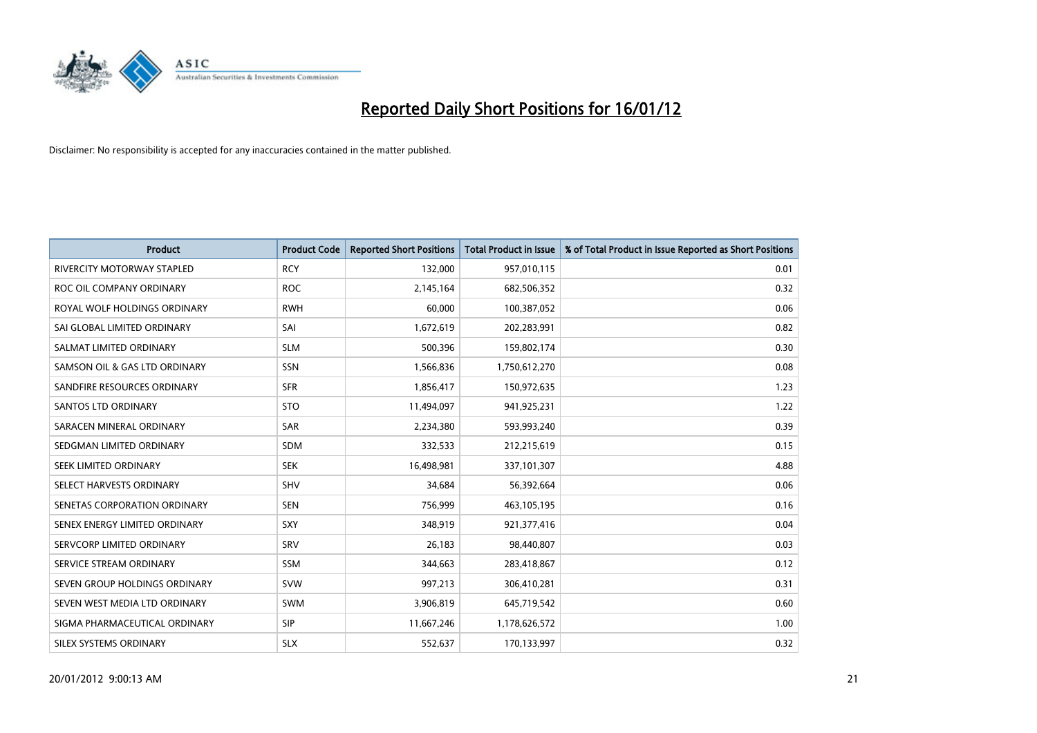

| <b>Product</b>                | <b>Product Code</b> | <b>Reported Short Positions</b> | <b>Total Product in Issue</b> | % of Total Product in Issue Reported as Short Positions |
|-------------------------------|---------------------|---------------------------------|-------------------------------|---------------------------------------------------------|
| RIVERCITY MOTORWAY STAPLED    | <b>RCY</b>          | 132,000                         | 957,010,115                   | 0.01                                                    |
| ROC OIL COMPANY ORDINARY      | <b>ROC</b>          | 2,145,164                       | 682,506,352                   | 0.32                                                    |
| ROYAL WOLF HOLDINGS ORDINARY  | <b>RWH</b>          | 60,000                          | 100,387,052                   | 0.06                                                    |
| SAI GLOBAL LIMITED ORDINARY   | SAI                 | 1,672,619                       | 202,283,991                   | 0.82                                                    |
| SALMAT LIMITED ORDINARY       | <b>SLM</b>          | 500,396                         | 159,802,174                   | 0.30                                                    |
| SAMSON OIL & GAS LTD ORDINARY | SSN                 | 1,566,836                       | 1,750,612,270                 | 0.08                                                    |
| SANDFIRE RESOURCES ORDINARY   | <b>SFR</b>          | 1,856,417                       | 150,972,635                   | 1.23                                                    |
| <b>SANTOS LTD ORDINARY</b>    | <b>STO</b>          | 11,494,097                      | 941,925,231                   | 1.22                                                    |
| SARACEN MINERAL ORDINARY      | <b>SAR</b>          | 2,234,380                       | 593,993,240                   | 0.39                                                    |
| SEDGMAN LIMITED ORDINARY      | <b>SDM</b>          | 332,533                         | 212,215,619                   | 0.15                                                    |
| SEEK LIMITED ORDINARY         | <b>SEK</b>          | 16,498,981                      | 337,101,307                   | 4.88                                                    |
| SELECT HARVESTS ORDINARY      | SHV                 | 34,684                          | 56,392,664                    | 0.06                                                    |
| SENETAS CORPORATION ORDINARY  | <b>SEN</b>          | 756,999                         | 463,105,195                   | 0.16                                                    |
| SENEX ENERGY LIMITED ORDINARY | <b>SXY</b>          | 348,919                         | 921,377,416                   | 0.04                                                    |
| SERVCORP LIMITED ORDINARY     | SRV                 | 26,183                          | 98,440,807                    | 0.03                                                    |
| SERVICE STREAM ORDINARY       | SSM                 | 344,663                         | 283,418,867                   | 0.12                                                    |
| SEVEN GROUP HOLDINGS ORDINARY | <b>SVW</b>          | 997,213                         | 306,410,281                   | 0.31                                                    |
| SEVEN WEST MEDIA LTD ORDINARY | <b>SWM</b>          | 3,906,819                       | 645,719,542                   | 0.60                                                    |
| SIGMA PHARMACEUTICAL ORDINARY | <b>SIP</b>          | 11,667,246                      | 1,178,626,572                 | 1.00                                                    |
| SILEX SYSTEMS ORDINARY        | <b>SLX</b>          | 552,637                         | 170,133,997                   | 0.32                                                    |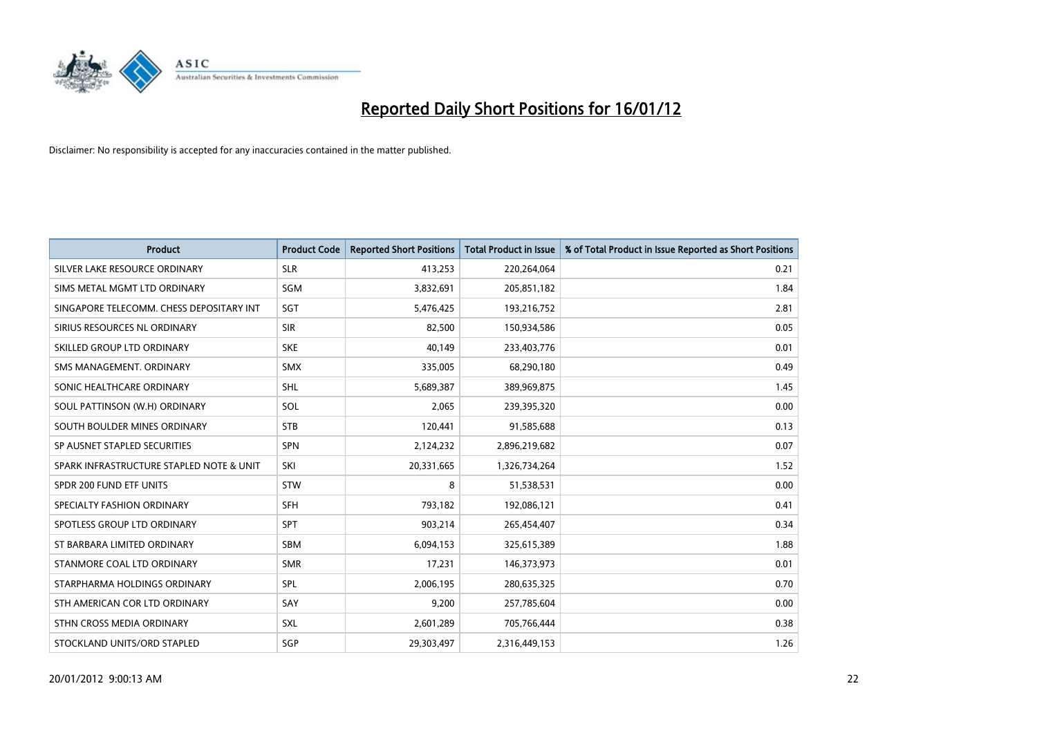

| <b>Product</b>                           | <b>Product Code</b> | <b>Reported Short Positions</b> | <b>Total Product in Issue</b> | % of Total Product in Issue Reported as Short Positions |
|------------------------------------------|---------------------|---------------------------------|-------------------------------|---------------------------------------------------------|
| SILVER LAKE RESOURCE ORDINARY            | <b>SLR</b>          | 413,253                         | 220,264,064                   | 0.21                                                    |
| SIMS METAL MGMT LTD ORDINARY             | <b>SGM</b>          | 3,832,691                       | 205,851,182                   | 1.84                                                    |
| SINGAPORE TELECOMM. CHESS DEPOSITARY INT | SGT                 | 5,476,425                       | 193,216,752                   | 2.81                                                    |
| SIRIUS RESOURCES NL ORDINARY             | <b>SIR</b>          | 82,500                          | 150,934,586                   | 0.05                                                    |
| SKILLED GROUP LTD ORDINARY               | <b>SKE</b>          | 40,149                          | 233,403,776                   | 0.01                                                    |
| SMS MANAGEMENT, ORDINARY                 | <b>SMX</b>          | 335,005                         | 68,290,180                    | 0.49                                                    |
| SONIC HEALTHCARE ORDINARY                | <b>SHL</b>          | 5,689,387                       | 389,969,875                   | 1.45                                                    |
| SOUL PATTINSON (W.H) ORDINARY            | SOL                 | 2,065                           | 239,395,320                   | 0.00                                                    |
| SOUTH BOULDER MINES ORDINARY             | <b>STB</b>          | 120,441                         | 91,585,688                    | 0.13                                                    |
| SP AUSNET STAPLED SECURITIES             | <b>SPN</b>          | 2,124,232                       | 2,896,219,682                 | 0.07                                                    |
| SPARK INFRASTRUCTURE STAPLED NOTE & UNIT | SKI                 | 20,331,665                      | 1,326,734,264                 | 1.52                                                    |
| SPDR 200 FUND ETF UNITS                  | <b>STW</b>          | 8                               | 51,538,531                    | 0.00                                                    |
| SPECIALTY FASHION ORDINARY               | <b>SFH</b>          | 793,182                         | 192,086,121                   | 0.41                                                    |
| SPOTLESS GROUP LTD ORDINARY              | SPT                 | 903,214                         | 265,454,407                   | 0.34                                                    |
| ST BARBARA LIMITED ORDINARY              | <b>SBM</b>          | 6,094,153                       | 325,615,389                   | 1.88                                                    |
| STANMORE COAL LTD ORDINARY               | <b>SMR</b>          | 17,231                          | 146,373,973                   | 0.01                                                    |
| STARPHARMA HOLDINGS ORDINARY             | SPL                 | 2,006,195                       | 280,635,325                   | 0.70                                                    |
| STH AMERICAN COR LTD ORDINARY            | SAY                 | 9,200                           | 257,785,604                   | 0.00                                                    |
| STHN CROSS MEDIA ORDINARY                | SXL                 | 2,601,289                       | 705,766,444                   | 0.38                                                    |
| STOCKLAND UNITS/ORD STAPLED              | SGP                 | 29,303,497                      | 2,316,449,153                 | 1.26                                                    |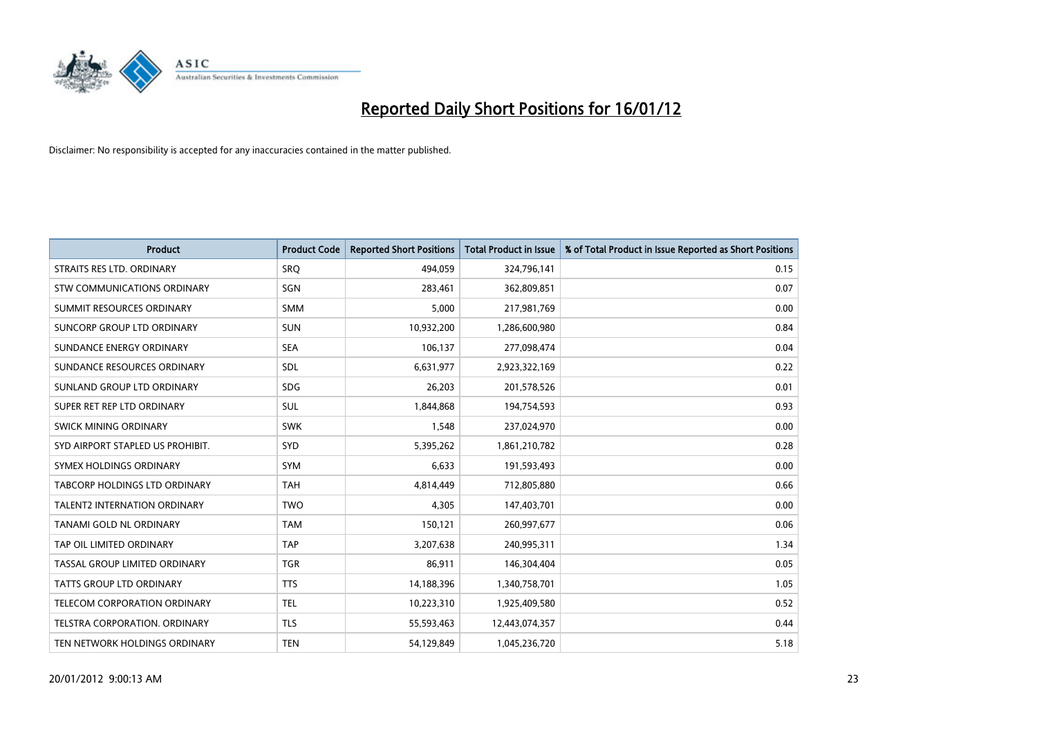

| <b>Product</b>                      | <b>Product Code</b> | <b>Reported Short Positions</b> | <b>Total Product in Issue</b> | % of Total Product in Issue Reported as Short Positions |
|-------------------------------------|---------------------|---------------------------------|-------------------------------|---------------------------------------------------------|
| STRAITS RES LTD. ORDINARY           | SRO                 | 494,059                         | 324,796,141                   | 0.15                                                    |
| STW COMMUNICATIONS ORDINARY         | SGN                 | 283,461                         | 362,809,851                   | 0.07                                                    |
| SUMMIT RESOURCES ORDINARY           | <b>SMM</b>          | 5,000                           | 217,981,769                   | 0.00                                                    |
| SUNCORP GROUP LTD ORDINARY          | <b>SUN</b>          | 10,932,200                      | 1,286,600,980                 | 0.84                                                    |
| SUNDANCE ENERGY ORDINARY            | <b>SEA</b>          | 106,137                         | 277,098,474                   | 0.04                                                    |
| SUNDANCE RESOURCES ORDINARY         | SDL                 | 6,631,977                       | 2,923,322,169                 | 0.22                                                    |
| SUNLAND GROUP LTD ORDINARY          | <b>SDG</b>          | 26,203                          | 201,578,526                   | 0.01                                                    |
| SUPER RET REP LTD ORDINARY          | SUL                 | 1,844,868                       | 194,754,593                   | 0.93                                                    |
| SWICK MINING ORDINARY               | <b>SWK</b>          | 1,548                           | 237,024,970                   | 0.00                                                    |
| SYD AIRPORT STAPLED US PROHIBIT.    | <b>SYD</b>          | 5,395,262                       | 1,861,210,782                 | 0.28                                                    |
| SYMEX HOLDINGS ORDINARY             | <b>SYM</b>          | 6,633                           | 191,593,493                   | 0.00                                                    |
| TABCORP HOLDINGS LTD ORDINARY       | <b>TAH</b>          | 4,814,449                       | 712,805,880                   | 0.66                                                    |
| <b>TALENT2 INTERNATION ORDINARY</b> | <b>TWO</b>          | 4,305                           | 147,403,701                   | 0.00                                                    |
| TANAMI GOLD NL ORDINARY             | <b>TAM</b>          | 150,121                         | 260,997,677                   | 0.06                                                    |
| TAP OIL LIMITED ORDINARY            | <b>TAP</b>          | 3,207,638                       | 240,995,311                   | 1.34                                                    |
| TASSAL GROUP LIMITED ORDINARY       | <b>TGR</b>          | 86,911                          | 146,304,404                   | 0.05                                                    |
| TATTS GROUP LTD ORDINARY            | <b>TTS</b>          | 14,188,396                      | 1,340,758,701                 | 1.05                                                    |
| TELECOM CORPORATION ORDINARY        | <b>TEL</b>          | 10,223,310                      | 1,925,409,580                 | 0.52                                                    |
| TELSTRA CORPORATION, ORDINARY       | <b>TLS</b>          | 55,593,463                      | 12,443,074,357                | 0.44                                                    |
| TEN NETWORK HOLDINGS ORDINARY       | <b>TEN</b>          | 54,129,849                      | 1,045,236,720                 | 5.18                                                    |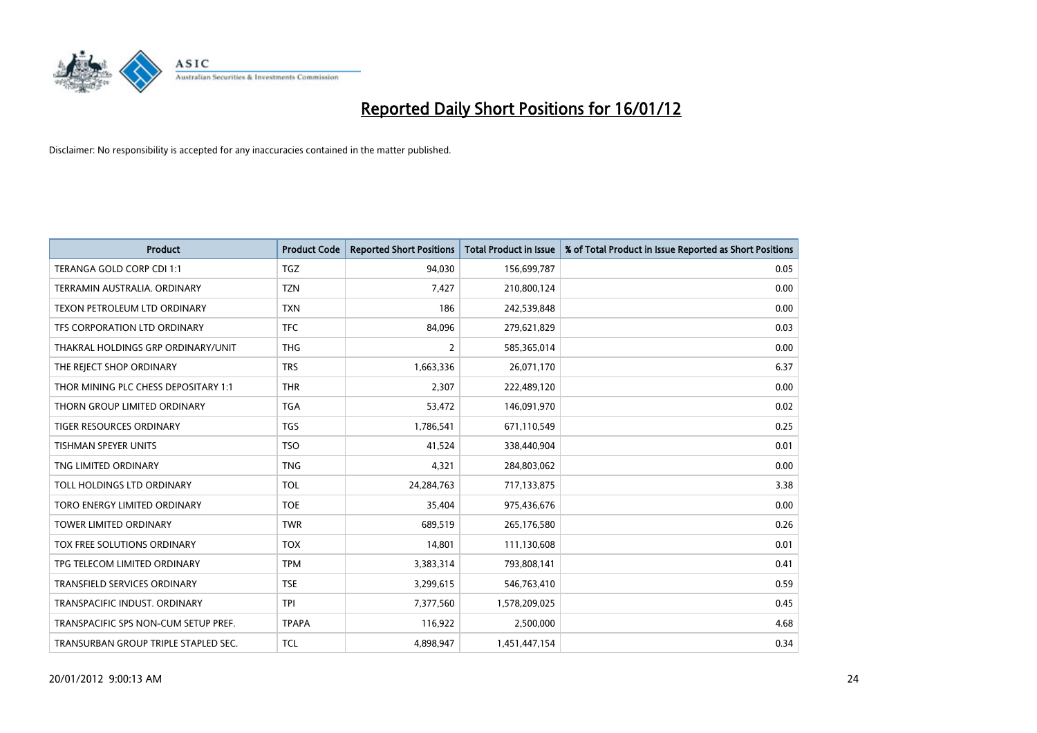

| <b>Product</b>                       | <b>Product Code</b> | <b>Reported Short Positions</b> | <b>Total Product in Issue</b> | % of Total Product in Issue Reported as Short Positions |
|--------------------------------------|---------------------|---------------------------------|-------------------------------|---------------------------------------------------------|
| TERANGA GOLD CORP CDI 1:1            | <b>TGZ</b>          | 94,030                          | 156,699,787                   | 0.05                                                    |
| TERRAMIN AUSTRALIA, ORDINARY         | <b>TZN</b>          | 7,427                           | 210,800,124                   | 0.00                                                    |
| <b>TEXON PETROLEUM LTD ORDINARY</b>  | <b>TXN</b>          | 186                             | 242,539,848                   | 0.00                                                    |
| TFS CORPORATION LTD ORDINARY         | <b>TFC</b>          | 84,096                          | 279,621,829                   | 0.03                                                    |
| THAKRAL HOLDINGS GRP ORDINARY/UNIT   | <b>THG</b>          | 2                               | 585,365,014                   | 0.00                                                    |
| THE REJECT SHOP ORDINARY             | <b>TRS</b>          | 1,663,336                       | 26,071,170                    | 6.37                                                    |
| THOR MINING PLC CHESS DEPOSITARY 1:1 | <b>THR</b>          | 2,307                           | 222,489,120                   | 0.00                                                    |
| THORN GROUP LIMITED ORDINARY         | <b>TGA</b>          | 53,472                          | 146,091,970                   | 0.02                                                    |
| <b>TIGER RESOURCES ORDINARY</b>      | <b>TGS</b>          | 1,786,541                       | 671,110,549                   | 0.25                                                    |
| <b>TISHMAN SPEYER UNITS</b>          | <b>TSO</b>          | 41,524                          | 338,440,904                   | 0.01                                                    |
| TNG LIMITED ORDINARY                 | <b>TNG</b>          | 4,321                           | 284,803,062                   | 0.00                                                    |
| TOLL HOLDINGS LTD ORDINARY           | <b>TOL</b>          | 24,284,763                      | 717,133,875                   | 3.38                                                    |
| TORO ENERGY LIMITED ORDINARY         | <b>TOE</b>          | 35,404                          | 975,436,676                   | 0.00                                                    |
| <b>TOWER LIMITED ORDINARY</b>        | <b>TWR</b>          | 689,519                         | 265,176,580                   | 0.26                                                    |
| TOX FREE SOLUTIONS ORDINARY          | <b>TOX</b>          | 14,801                          | 111,130,608                   | 0.01                                                    |
| TPG TELECOM LIMITED ORDINARY         | <b>TPM</b>          | 3,383,314                       | 793,808,141                   | 0.41                                                    |
| TRANSFIELD SERVICES ORDINARY         | <b>TSE</b>          | 3,299,615                       | 546,763,410                   | 0.59                                                    |
| TRANSPACIFIC INDUST, ORDINARY        | <b>TPI</b>          | 7,377,560                       | 1,578,209,025                 | 0.45                                                    |
| TRANSPACIFIC SPS NON-CUM SETUP PREF. | <b>TPAPA</b>        | 116,922                         | 2,500,000                     | 4.68                                                    |
| TRANSURBAN GROUP TRIPLE STAPLED SEC. | <b>TCL</b>          | 4,898,947                       | 1,451,447,154                 | 0.34                                                    |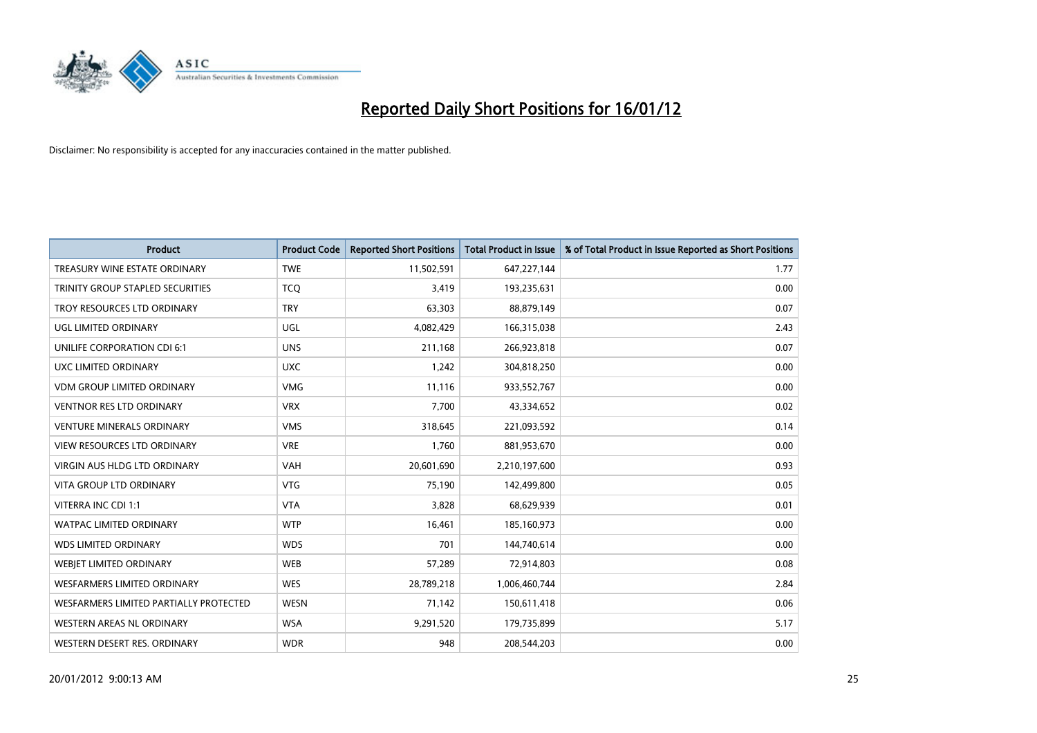

| <b>Product</b>                         | <b>Product Code</b> | <b>Reported Short Positions</b> | <b>Total Product in Issue</b> | % of Total Product in Issue Reported as Short Positions |
|----------------------------------------|---------------------|---------------------------------|-------------------------------|---------------------------------------------------------|
| TREASURY WINE ESTATE ORDINARY          | <b>TWE</b>          | 11,502,591                      | 647,227,144                   | 1.77                                                    |
| TRINITY GROUP STAPLED SECURITIES       | <b>TCQ</b>          | 3,419                           | 193,235,631                   | 0.00                                                    |
| TROY RESOURCES LTD ORDINARY            | <b>TRY</b>          | 63,303                          | 88,879,149                    | 0.07                                                    |
| UGL LIMITED ORDINARY                   | UGL                 | 4,082,429                       | 166,315,038                   | 2.43                                                    |
| UNILIFE CORPORATION CDI 6:1            | <b>UNS</b>          | 211,168                         | 266,923,818                   | 0.07                                                    |
| UXC LIMITED ORDINARY                   | <b>UXC</b>          | 1,242                           | 304,818,250                   | 0.00                                                    |
| <b>VDM GROUP LIMITED ORDINARY</b>      | <b>VMG</b>          | 11,116                          | 933,552,767                   | 0.00                                                    |
| <b>VENTNOR RES LTD ORDINARY</b>        | <b>VRX</b>          | 7,700                           | 43,334,652                    | 0.02                                                    |
| <b>VENTURE MINERALS ORDINARY</b>       | <b>VMS</b>          | 318,645                         | 221,093,592                   | 0.14                                                    |
| <b>VIEW RESOURCES LTD ORDINARY</b>     | <b>VRE</b>          | 1,760                           | 881,953,670                   | 0.00                                                    |
| VIRGIN AUS HLDG LTD ORDINARY           | <b>VAH</b>          | 20,601,690                      | 2,210,197,600                 | 0.93                                                    |
| <b>VITA GROUP LTD ORDINARY</b>         | <b>VTG</b>          | 75,190                          | 142,499,800                   | 0.05                                                    |
| VITERRA INC CDI 1:1                    | <b>VTA</b>          | 3,828                           | 68,629,939                    | 0.01                                                    |
| <b>WATPAC LIMITED ORDINARY</b>         | <b>WTP</b>          | 16,461                          | 185,160,973                   | 0.00                                                    |
| <b>WDS LIMITED ORDINARY</b>            | <b>WDS</b>          | 701                             | 144,740,614                   | 0.00                                                    |
| WEBIET LIMITED ORDINARY                | <b>WEB</b>          | 57,289                          | 72,914,803                    | 0.08                                                    |
| WESFARMERS LIMITED ORDINARY            | <b>WES</b>          | 28,789,218                      | 1,006,460,744                 | 2.84                                                    |
| WESFARMERS LIMITED PARTIALLY PROTECTED | <b>WESN</b>         | 71,142                          | 150,611,418                   | 0.06                                                    |
| WESTERN AREAS NL ORDINARY              | <b>WSA</b>          | 9,291,520                       | 179,735,899                   | 5.17                                                    |
| WESTERN DESERT RES. ORDINARY           | <b>WDR</b>          | 948                             | 208,544,203                   | 0.00                                                    |